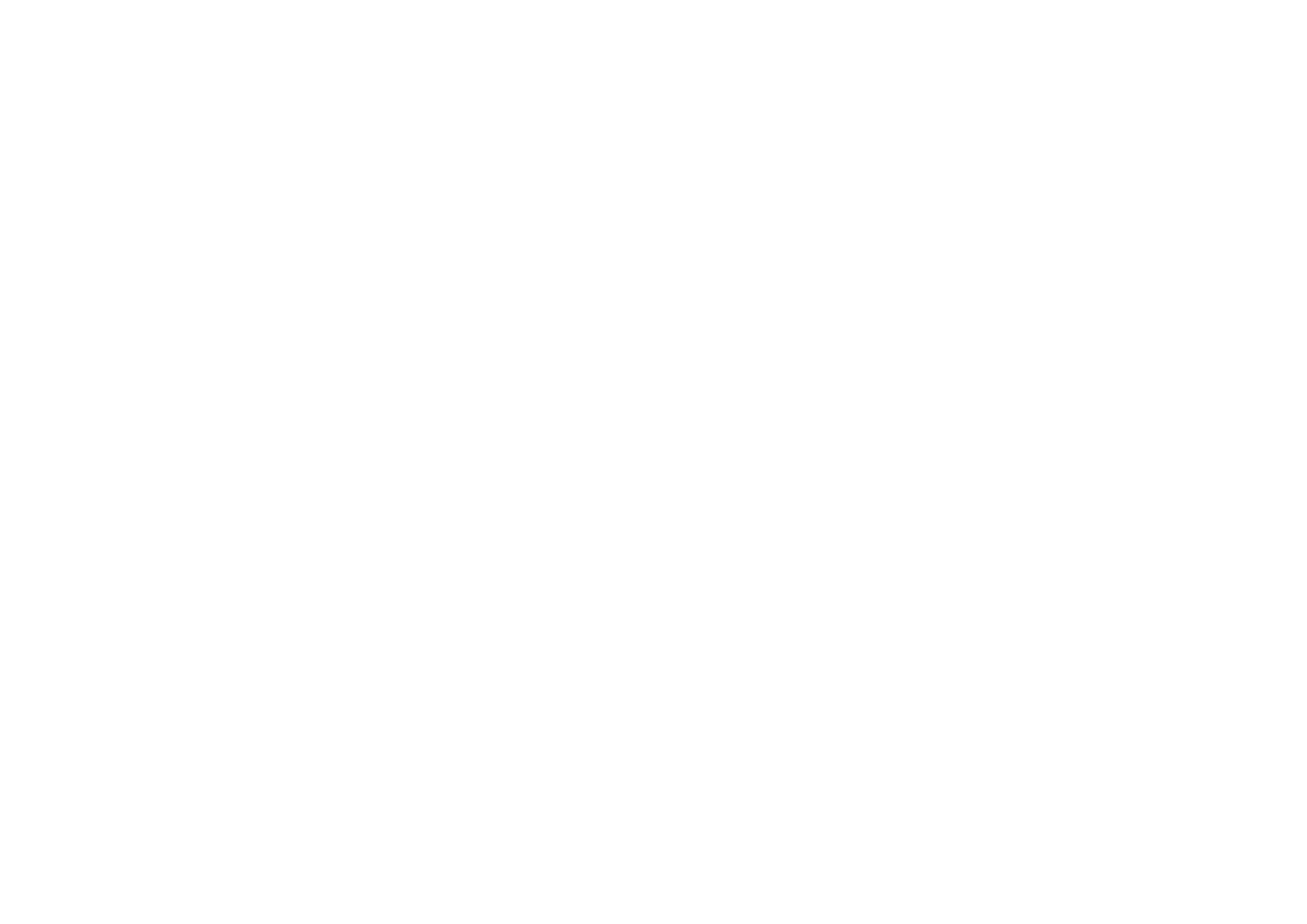# **YouGov / Sunday Times Survey Results**

# **Sample Size: 2103 GB Adults**

**Fieldwork: 20th - 21st March 2014**

|                                                                     |                         |                |                | <b>Voting intention</b> |               |              | <b>2010 Vote</b> |              |               | Gender         |             | Age                     |                         |                |               | <b>Social Grade</b> |
|---------------------------------------------------------------------|-------------------------|----------------|----------------|-------------------------|---------------|--------------|------------------|--------------|---------------|----------------|-------------|-------------------------|-------------------------|----------------|---------------|---------------------|
|                                                                     | Total                   | Con Lab        |                | Lib<br>Dem              | UKIP          | Con          | Lab              | Lib<br>Dem   | Male          | l Female I     | 18-24 25-39 |                         | 40-59                   | $60+$          | ABC1          | C <sub>2</sub> DE   |
| <b>Weighted Sample</b>                                              | 2103                    |                | 579 610        | 152                     | 172           | 638          | 515              | 417          | 1020          | 1083           | 250         | 532                     | 719                     | 601            | 1199          | 904                 |
| Unweighted Sample                                                   | 2103                    | 526            | 642            | 139                     | 194           | 590          | 547              | 430          | 1004          | 1099           | 223         | 429                     | 873                     | 578            | 358           | 745                 |
| <b>Headline Voting Intention</b>                                    | $\frac{0}{0}$           | $\%$           | $\frac{0}{0}$  | $\frac{1}{2}$           | $\frac{0}{0}$ | $\%$         | $\frac{0}{0}$    | %            | $\frac{0}{0}$ | $\frac{0}{0}$  | $\%$        | $\frac{0}{0}$           | %                       | %              | $\frac{9}{6}$ | %                   |
| [Excluding Don't knows and Wouldn't votes]                          |                         |                |                |                         |               |              |                  |              |               |                |             |                         |                         |                |               |                     |
| Con                                                                 | 36                      | 100            | 0              | 0                       | 0             | 79           | 6                | 10           | 35            | 36             | 28          | 34                      | 34                      | 41             | 39            | 31                  |
| Lab                                                                 | 37                      | $\mathbf 0$    | 100            | $\mathbf 0$             | $\mathbf{0}$  | 6            | 82               | 33           | 36            | 40             | 40          | 41                      | 40                      | 31             | 34            | 43                  |
| Lib Dem                                                             | 9                       | $\mathbf{0}$   | $\mathbf 0$    | 100                     | $\mathbf{0}$  | $\mathbf{1}$ | $\mathbf{1}$     | 38           | 9             | 9              | 10          | 11                      | 9                       | 8              | 11            | $\overline{7}$      |
| Other<br><b>Other Parties Voting Intention</b>                      | 18                      | $\mathbf 0$    | $\mathbf 0$    | 0                       | 100           | 14           | 10               | 19           | 20            | 15             | 22          | 14                      | 17                      | 20             | 16            | 20                  |
| <b>UKIP</b>                                                         | 11                      | $\mathbf 0$    | 0              | 0                       | 100           | 13           | 4                | 9            | 13            | 8              | 5           | 5                       | 11                      | 16             | 9             | 12                  |
| SNP / PCY                                                           | 4                       | 0              | 0              | $\mathbf 0$             | 0             | 0            | 4                | 3            | 5             | $\overline{c}$ | 11          | 4                       | 3                       | $\overline{2}$ | 4             | 4                   |
| Green                                                               | $\overline{\mathbf{2}}$ | $\mathbf 0$    | $\mathbf 0$    | $\mathbf 0$             | $\mathbf 0$   | 0            | $\mathbf{1}$     | 6            |               | 3              | 6           | $\overline{\mathbf{c}}$ | $\overline{\mathbf{c}}$ | $\mathbf{1}$   | 2             | $\sqrt{3}$          |
| <b>BNP</b>                                                          | 1                       | $\mathbf 0$    | $\mathbf 0$    | $\mathbf 0$             | $\mathbf 0$   | $\mathbf 0$  | $\mathbf 0$      | $\mathbf 0$  | 0             | 1              | $\mathbf 0$ | $\mathbf{1}$            | $\mathsf{O}\xspace$     | $\mathbf 0$    |               | $\mathbf 0$         |
| Respect                                                             | 0                       | $\mathbf 0$    | 0              | $\mathbf 0$             | 0             | 0            | $\mathbf 0$      | 0            | 0             | 0              | $\mathbf 0$ | 0                       | 0                       | 0              | $\Omega$      | 0                   |
| Other                                                               | 0                       | $\mathbf 0$    | $\Omega$       | $\mathbf 0$             | $\mathbf 0$   | $\mathbf 0$  | $\Omega$         | $\mathbf{1}$ | $\mathbf 0$   | $\mathbf 0$    | $\mathbf 0$ | $\Omega$                | $\mathbf{1}$            | $\mathbf 0$    | $\mathbf 0$   | $\mathbf 0$         |
| <b>Non Voters</b>                                                   |                         |                |                |                         |               |              |                  |              |               |                |             |                         |                         |                |               |                     |
| <b>Would Not Vote</b>                                               | 8                       | 0              | 0              | 0                       | 0             | 3            | 3                | 5            | 6             | 10             | 14          | 12                      | 7                       | 4              |               | 9                   |
| Don't know                                                          | 15                      | 0              | 0              | $\mathcal{O}$           | 0             | 9            | 9                | 19           | 9             | 20             | 18          | 15                      | 15                      | 12             | 11            | 19                  |
| Mar<br>19-20                                                        | <b>Mar 20-</b><br>21    |                |                |                         |               |              |                  |              |               |                |             |                         |                         |                |               |                     |
| Do you approve or disapprove of the Government's<br>record to date? |                         |                |                |                         |               |              |                  |              |               |                |             |                         |                         |                |               |                     |
| 33<br>Approve                                                       | 33                      | 85             | 6              | 37                      | 23            | 67           | 11               | 23           | 39            | 28             | 25          | 33                      | 32                      | 38             | 39            | 25                  |
| 52<br>Disapprove                                                    | 52                      | $\overline{7}$ | 87             | 38                      | 67            | 23           | 80               | 60           | 51            | 53             | 49          | 52                      | 55                      | 51             | 48            | 57                  |
| Don't know<br>15                                                    | 14                      | $\overline{7}$ | $\overline{7}$ | 25                      | 10            | 10           | 9                | 17           | 10            | 19             | 25          | 15                      | 13                      | 12             | 12            | 17                  |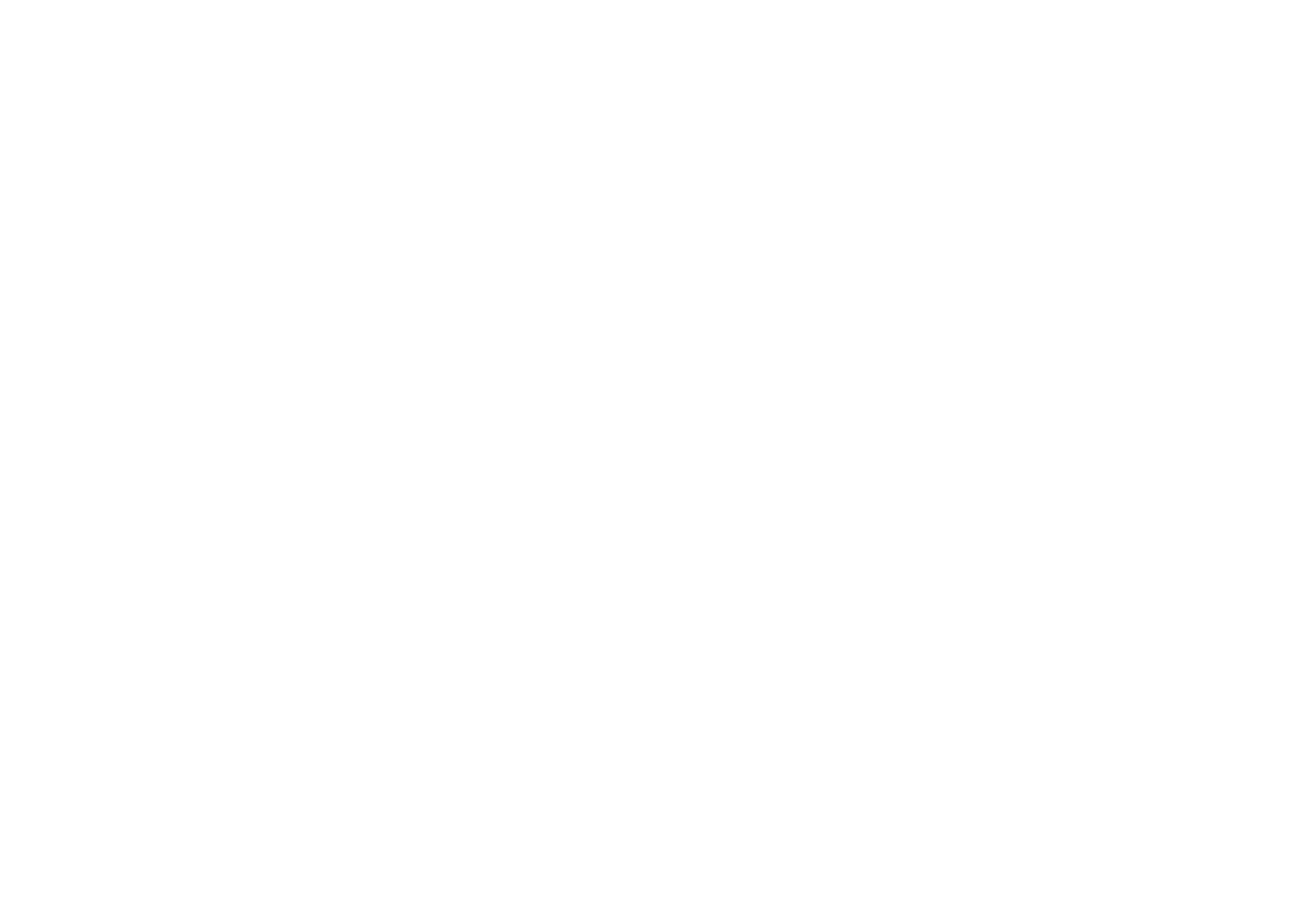# **YouGov / Sunday Times Survey Results**

# **Sample Size: 2103 GB Adults**

**Fieldwork: 20th - 21st March 2014**

|                                                                     |                                      |                |                         | Region            |                |          |                  |                      | <b>Household Income</b> |                  |
|---------------------------------------------------------------------|--------------------------------------|----------------|-------------------------|-------------------|----------------|----------|------------------|----------------------|-------------------------|------------------|
|                                                                     | <b>Total</b>                         | London         | Rest of<br><b>South</b> | Midlands<br>Wales | <b>North</b>   | Scotland | Under<br>£25,000 | £25,000 -<br>£39,999 | £40,000 -<br>£59,999    | £Over<br>£60,000 |
| <b>Weighted Sample</b>                                              | 2103                                 | 269            | 683                     | 450               | 517            | 183      | 672              | 436                  | 274                     | 200              |
| Unweighted Sample                                                   | 2103                                 | 293            | 670                     | 468               | 489            | 183      | 632              | 428                  | 284                     | 236              |
|                                                                     | %                                    | $\frac{0}{0}$  | $\frac{0}{0}$           | $\%$              | $\frac{0}{0}$  | $\%$     | $\frac{0}{0}$    | $\frac{0}{0}$        | $\frac{9}{6}$           | $\frac{0}{0}$    |
| <b>Headline Voting Intention</b>                                    |                                      |                |                         |                   |                |          |                  |                      |                         |                  |
| [Excluding Don't knows and Wouldn't votes]                          |                                      |                |                         |                   |                |          |                  |                      |                         |                  |
| Con                                                                 | 36                                   | 37             | 42                      | 37                | 32             | 18       | 29               | 33                   | 45                      | 49               |
| Lab                                                                 | 37                                   | 40             | 27                      | 40                | 46             | 41       | 42               | 42                   | 30                      | 29               |
| Lib Dem                                                             | 9                                    | 12             | 13                      | $\overline{7}$    | 8              | 3        | 11               | $\overline{7}$       | 10                      | 11               |
| Other                                                               | 18                                   | 10             | 18                      | 16                | 15             | 38       | 18               | 18                   | 15                      | 11               |
| <b>Other Parties Voting Intention</b>                               |                                      |                |                         |                   |                |          |                  |                      |                         |                  |
| <b>UKIP</b>                                                         | 11                                   | 8              | 14                      | 11                | 12             | 1        | 11               | 11                   | 6                       | 8                |
| SNP / PCY                                                           | 4                                    | 0              | 0                       | 1                 | $\pmb{0}$      | 35       | 4                | 3                    | 6                       | 1                |
| Green                                                               | $\overline{2}$                       | $\overline{2}$ | 3                       | $\overline{c}$    | $\overline{2}$ | 2        | $\overline{2}$   | 3                    | 2                       | $\overline{2}$   |
| <b>BNP</b>                                                          | 1                                    | $\Omega$       | $\mathbf 0$             | 1                 | $\mathbf{1}$   | 0        | $\mathbf 0$      | 1                    | 0                       | $\mathbf 0$      |
| Respect                                                             | 0                                    | $\Omega$       | $\mathbf 0$             | $\mathbf 0$       | $\mathbf 0$    | 0        | 0                | $\mathbf 0$          | 0                       | 0                |
| Other                                                               | 0                                    | $\mathbf 0$    | 1                       | $\mathbf{1}$      | $\mathbf 0$    | 0        | $\mathsf 0$      | 0                    | 0                       | $\mathbf{1}$     |
| <b>Non Voters</b>                                                   |                                      |                |                         |                   |                |          |                  |                      |                         |                  |
| <b>Would Not Vote</b>                                               | 8                                    | 9              | 8                       | 10                | 8              | 4        | 10               | 8                    | 4                       | 3                |
| Don't know                                                          | 15                                   | 12             | 16                      | 15                | 15             | 12       | 16               | 13                   | 11                      | 11               |
|                                                                     | Mar<br><b>Mar 20-</b><br>19-20<br>21 |                |                         |                   |                |          |                  |                      |                         |                  |
| Do you approve or disapprove of the Government's<br>record to date? |                                      |                |                         |                   |                |          |                  |                      |                         |                  |
| Approve                                                             | 33<br>33                             | 35             | 39                      | 32                | 31             | 20       | 27               | 31                   | 46                      | 54               |
| Disapprove                                                          | 52<br>52                             | 50             | 46                      | 52                | 56             | 67       | 59               | 57                   | 44                      | 38               |
| Don't know                                                          | 14<br>15                             | 14             | 15                      | 17                | 13             | 13       | 14               | 12                   | 10                      | 8                |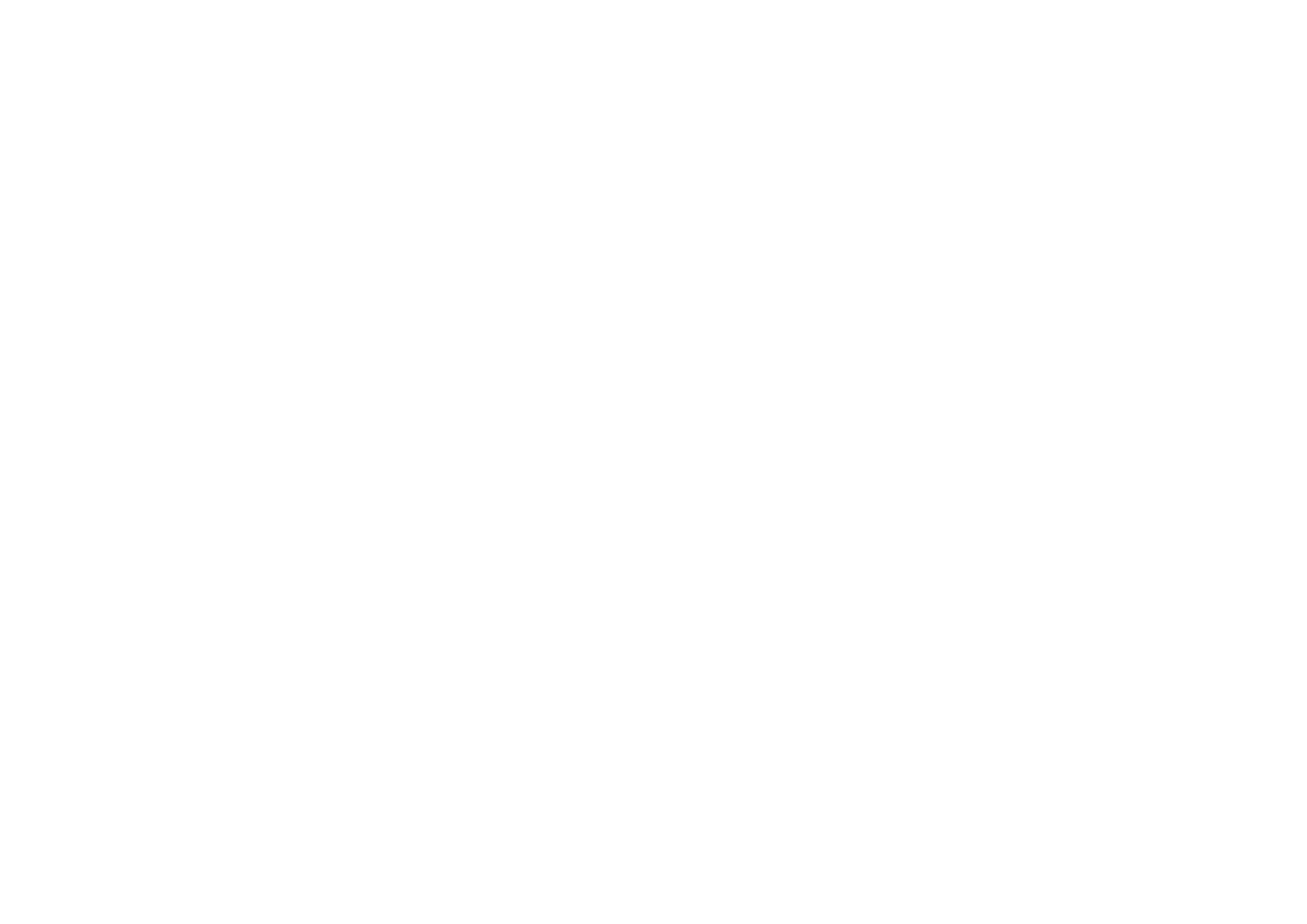|                                                                                              |                |                |                      |                | <b>Voting intention</b> |                      |                      | <b>2010 Vote</b>     |                |                | Gender         |                | Age            |                |            |                | <b>Social Grade</b> |
|----------------------------------------------------------------------------------------------|----------------|----------------|----------------------|----------------|-------------------------|----------------------|----------------------|----------------------|----------------|----------------|----------------|----------------|----------------|----------------|------------|----------------|---------------------|
|                                                                                              |                |                |                      |                | Lib                     |                      |                      |                      | Lib            |                |                |                |                |                |            |                |                     |
|                                                                                              |                | Total          | Con                  | Lab            | Dem                     | UKIP                 | Con                  | Lab                  | Dem            | Male           | Female         | 18-24          | 25-39 40-59    |                | $60+$      | ABC1           | C <sub>2</sub> DE   |
| <b>Weighted Sample</b>                                                                       |                | 2103           | 579                  | 610            | 152                     | 172                  | 638                  | 515                  | 417            | 1020           | 1083           | 250            | 532            | 719            | 601        | 1199           | 904                 |
| <b>Unweighted Sample</b>                                                                     |                | 2103           | 526                  | 642            | 139                     | 194                  | 590                  | 547                  | 430            | 1004           | 1099           | 223            | 429            | 873            | 578        | 1358           | 745                 |
|                                                                                              |                | %              | %                    | %              | %                       | %                    | %                    | %                    | %              | %              | %              | %              | %              | %              | %          | %              | %                   |
|                                                                                              | Mar            | Mar            |                      |                |                         |                      |                      |                      |                |                |                |                |                |                |            |                |                     |
|                                                                                              | $13 - 14$      | $20 - 21$      |                      |                |                         |                      |                      |                      |                |                |                |                |                |                |            |                |                     |
| Do you think that David Cameron is doing well or badly<br>as Prime Minister?                 |                |                |                      |                |                         |                      |                      |                      |                |                |                |                |                |                |            |                |                     |
| Very well                                                                                    | 6              | 5              | 17                   | $\mathbf 0$    | 3                       | $\overline{c}$       | 13                   | $\mathbf{1}$         | 1              | $\overline{7}$ | 4              | 3              | 6              | 5              | 5          | 6              | 4                   |
| Fairly well                                                                                  | 33             | 37             | 75                   | 11             | 51                      | 31                   | 64                   | 17                   | 35             | 39             | 35             | 32             | 35             | 36             | 42         | 41             | 32                  |
| <b>TOTAL WELL</b>                                                                            | 39             | 42             | 92                   | 11             | 54                      | 33                   | 77                   | 18                   | 36             | 46             | 39             | 35             | 41             | 41             | 47         | 47             | 36                  |
| Fairly badly                                                                                 | 30             | 28             | 6                    | 42             | 30                      | 37                   | 15                   | 39                   | 34             | 27             | 29             | 30             | 27             | 27             | 29         | 29             | 26                  |
| Very badly                                                                                   | 23             | 23             | $\mathbf{1}$         | 44             | 8                       | 28                   | 5                    | 40                   | 23             | 24             | 23             | 20             | 22             | 27             | 20         | 19             | 29                  |
| <b>TOTAL BADLY</b>                                                                           | 53             | 51             | $\overline{7}$       | 86             | 38                      | 65                   | 20                   | 79                   | 57             | 51             | 52             | 50             | 49             | 54             | 49         | 48             | 55                  |
| Don't know                                                                                   | $\overline{7}$ | 7              | 1                    | 3              | 9                       | 2                    | 3                    | 3                    | 6              | 3              | 10             | 15             | 10             | 5              | 3          | 5              | 9                   |
| Do you think Ed Miliband is doing well or badly as<br>leader of the Labour party?            |                |                |                      |                |                         |                      |                      |                      |                |                |                |                |                |                |            |                |                     |
| Very well                                                                                    | 3              | 3              | $\mathbf{1}$         | $\overline{7}$ | 3                       | 0                    | $\overline{2}$       | 5                    | $\overline{c}$ | 3              | $\overline{2}$ | $\overline{4}$ | $\overline{2}$ | 3              | $\sqrt{2}$ | $\overline{2}$ | 3                   |
| Fairly well                                                                                  | 25             | 26             | 12                   | 57             | 22                      | 11                   | 13                   | 46                   | 31             | 24             | 27             | 20             | 26             | 26             | 27         | 22             | 31                  |
| <b>TOTAL WELL</b>                                                                            | 28             | 29             | 13                   | 64             | 25                      | 11                   | 15                   | 51                   | 33             | 27             | 29             | 24             | 28             | 29             | 29         | 24             | 34                  |
| Fairly badly                                                                                 | 36             | 35             | 41                   | 25             | 44                      | 35                   | 38                   | 32                   | 40             | 35             | 34             | 30             | 34             | 34             | 39         | 38             | 30                  |
| Very badly                                                                                   | 24             | 25             | 43                   | 5              | 19                      | 50                   | 41                   | 9                    | 16             | 31             | 20             | 25             | 21             | 29             | 26         | 27             | 23                  |
| <b>TOTAL BADLY</b>                                                                           | 60             | 60             | 84                   | 30             | 63                      | 85                   | 79                   | 41                   | 56             | 66             | 54             | 55             | 55             | 63             | 65         | 65             | 53                  |
| Don't know                                                                                   | 13             | 12             | $\overline{4}$       | $\overline{7}$ | 11                      | $\overline{4}$       | $\overline{7}$       | $\overline{7}$       | 11             | 6              | 16             | 21             | 17             | 9              | 6          | 10             | 13                  |
| Do you think that Nick Clegg is doing well or badly as<br>leader of the Liberal Democrats?   |                |                |                      |                |                         |                      |                      |                      |                |                |                |                |                |                |            |                |                     |
| Very well                                                                                    | $\overline{c}$ | $\overline{2}$ | 3                    | $\mathbf{1}$   | 12                      | 0                    | $\overline{2}$       | $\overline{2}$       | 4              | 3              | $\mathbf{1}$   | 3              | 3              | $\overline{2}$ | $\sqrt{2}$ | 3              | $\mathbf{1}$        |
| Fairly well                                                                                  | 16             | 21             | 35                   | 10             | 55                      | 11                   | 29                   | 9                    | 29             | 22             | 20             | 15             | 24             | 22             | 18         | 21             | 20                  |
| <b>TOTAL WELL</b>                                                                            | 18             | 23             | 38                   | 11             | 67                      | 11                   | 31                   | 11                   | 33             | 25             | 21             | 18             | 27             | 24             | 20         | 24             | 21                  |
| Fairly badly                                                                                 | 31             | 31             | 32                   | 33             | 20                      | 31                   | 34                   | 33                   | 30             | 28             | 33             | 29             | 25             | 30             | 37         | 32             | 28                  |
| Very badly                                                                                   | 40             | 36             | 24                   | 51             | $\overline{4}$          | 53                   | 27                   | 52                   | 29             | 40             | 31             | 32             | 31             | 38             | 38         | 34             | 37                  |
| <b>TOTAL BADLY</b>                                                                           | 71             | 67             | 56                   | 84             | 24                      | 84                   | 61                   | 85                   | 59             | 68             | 64             | 61             | 56             | 68             | 75         | 66             | 65                  |
| Don't know                                                                                   | 11             | 11             | $\overline{7}$       | 5              | 10                      | 5                    | 9                    | 5                    | 8              | $\overline{7}$ | 15             | 21             | 18             | 8              | 6          | 10             | 13                  |
|                                                                                              | April          | Mar            |                      |                |                         |                      |                      |                      |                |                |                |                |                |                |            |                |                     |
|                                                                                              | $3 - 4$        | 20-21          |                      |                |                         |                      |                      |                      |                |                |                |                |                |                |            |                |                     |
|                                                                                              | 2013           | 2014           |                      |                |                         |                      |                      |                      |                |                |                |                |                |                |            |                |                     |
| Do you think George Osborne is doing well or badly as<br><b>Chancellor of the Exchequer?</b> |                |                |                      |                |                         |                      |                      |                      |                |                |                |                |                |                |            |                |                     |
| Very well                                                                                    | $\overline{c}$ | 8              | 24                   | $\mathbf{1}$   | 4                       | 6                    | 20                   | $\overline{c}$       | $\mathbf{1}$   | 11             | 5              | 8              | 5              | 6              | 13         | 10             | 5                   |
| Fairly well                                                                                  | 24             | 33             | 62                   | 10             | 42                      | 41                   | 55                   | 17                   | 32             | 36             | 30             | 20             | 31             | 34             | 38         | 36             | 28                  |
| <b>TOTAL WELL</b>                                                                            | 26             | 41             | 86                   | 11             | 46                      | 47                   | 75                   | 19                   | 33             | 47             | 35             | 28             | 36             | 40             | 51         | 46             | 33                  |
| Fairly badly                                                                                 | 27             | 23             | 8                    | 33             | 34                      | 29                   | 14                   | 31                   | 31             | 23             | 24             | 25             | 22             | 23             | 23         | 22             | 25                  |
| Very badly                                                                                   | 32             | 24             | $\overline{2}$       | 48             | 6                       | 17                   | 5                    | 44                   | 25             | 26             | 23             | 20             | 25             | 28             | 20         | 22             | 26                  |
| <b>TOTAL BADLY</b>                                                                           | 59<br>15       | 47<br>12       | 10<br>$\overline{4}$ | 81<br>8        | 40                      | 46<br>$\overline{7}$ | 19<br>$\overline{7}$ | 75<br>$\overline{7}$ | 56<br>11       | 49<br>5        | 47             | 45             | 47<br>17       | 51             | 43<br>6    | 44<br>10       | 51                  |
| Don't know                                                                                   |                |                |                      |                | 13                      |                      |                      |                      |                |                | 19             | 26             |                | 8              |            |                | 15                  |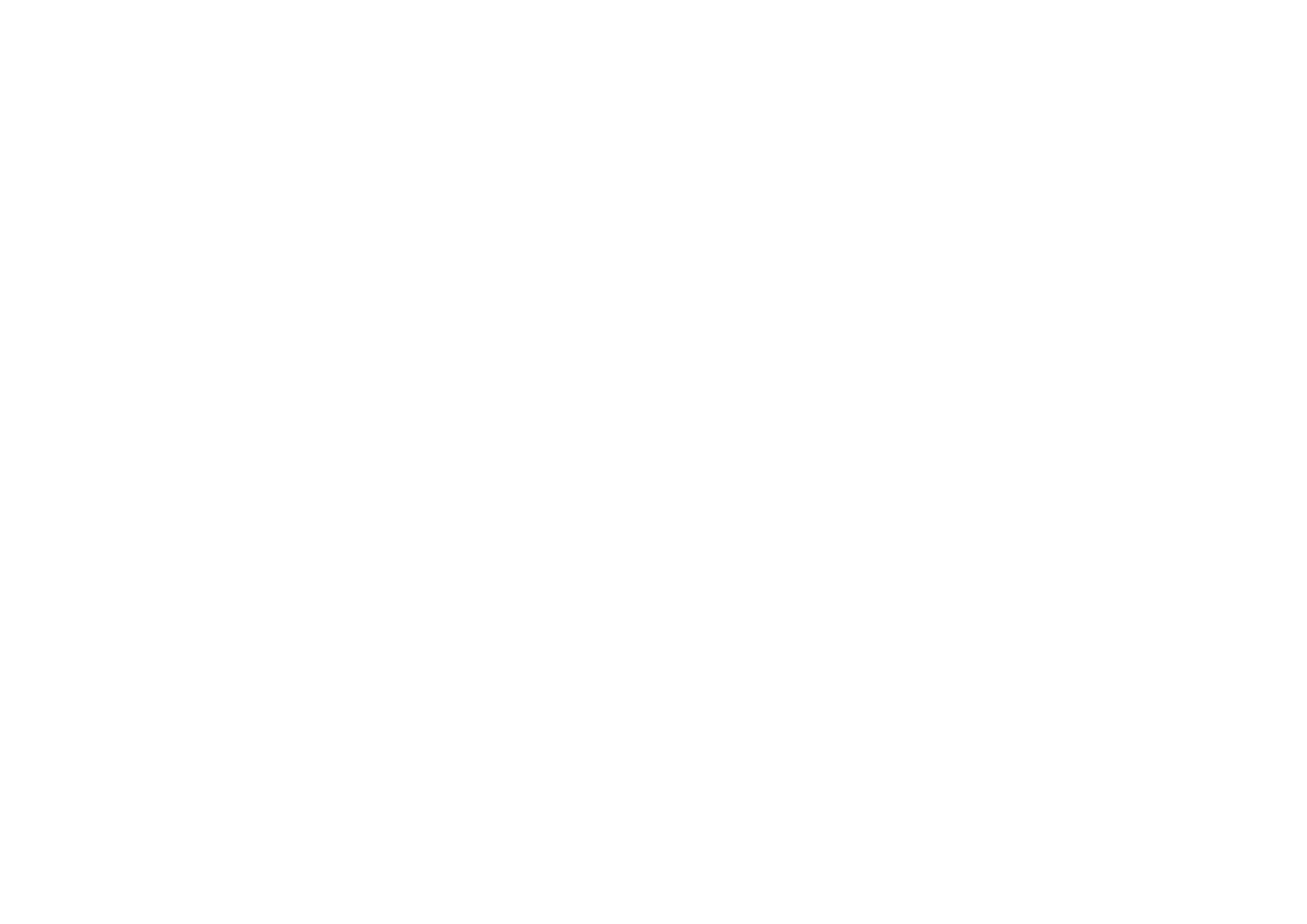|                                                                                              |                |                         |                |                  | Region                   |                |                         |                  | <b>Household Income</b> |                      |                      |
|----------------------------------------------------------------------------------------------|----------------|-------------------------|----------------|------------------|--------------------------|----------------|-------------------------|------------------|-------------------------|----------------------|----------------------|
|                                                                                              |                | Total                   | London         | Rest of<br>South | <b>Midlands</b><br>Wales | <b>North</b>   | Scotland                | Under<br>£25,000 | £25,000 -<br>£39,999    | £40,000 -<br>£59,999 | £Over<br>£60,000     |
| <b>Weighted Sample</b>                                                                       |                | 2103                    | 269            | 683              | 450                      | 517            | 183                     | 672              | 436                     | 274                  | 200                  |
| <b>Unweighted Sample</b>                                                                     |                | 2103                    | 293            | 670              | 468                      | 489            | 183                     | 632              | 428                     | 284                  | 236                  |
|                                                                                              |                | %                       | $\%$           | $\%$             | %                        | %              | %                       | %                | %                       | %                    | %                    |
|                                                                                              | Mar            | Mar                     |                |                  |                          |                |                         |                  |                         |                      |                      |
|                                                                                              | $13 - 14$      | $20 - 21$               |                |                  |                          |                |                         |                  |                         |                      |                      |
| Do you think that David Cameron is doing well or badly<br>as Prime Minister?                 |                |                         |                |                  |                          |                |                         |                  |                         |                      |                      |
| Very well                                                                                    | 6              | 5                       | 5              | $\overline{7}$   | 3                        | 6              | 4                       | 5                | 5                       | 6                    | 12                   |
| Fairly well                                                                                  | 33             | 37                      | 40             | 43               | 36                       | 33             | 24                      | 32               | 37                      | 46                   | 47                   |
| <b>TOTAL WELL</b>                                                                            | 39             | 42                      | 45             | 50               | 39                       | 39             | 28                      | 37               | 42                      | 52                   | 59                   |
| Fairly badly                                                                                 | 30             | 28                      | 30             | 25               | 26                       | 32             | 32                      | 27               | 30                      | 27                   | 27                   |
| Very badly                                                                                   | 23             | 23                      | 19             | 19               | 26                       | 23             | 36                      | 29               | 23                      | 18                   | 11                   |
| <b>TOTAL BADLY</b>                                                                           | 53             | 51                      | 49             | 44               | 52                       | 55             | 68                      | 56               | 53                      | 45                   | 38                   |
| Don't know                                                                                   | $\overline{7}$ | $\overline{\mathbf{r}}$ | 6              | 6                | 9                        | $\overline{7}$ | $\overline{4}$          | $\overline{7}$   | 5                       | 3                    | $\overline{2}$       |
| Do you think Ed Miliband is doing well or badly as<br>leader of the Labour party?            |                |                         |                |                  |                          |                |                         |                  |                         |                      |                      |
| Very well                                                                                    | 3              | 3                       | 3              | 2                | $\overline{2}$           | 4              | $\overline{\mathbf{c}}$ | $\overline{4}$   | $\mathbf{1}$            | $\overline{2}$       | 3                    |
| Fairly well                                                                                  | 25             | 26                      | 25             | 24               | 24                       | 29             | 24                      | 28               | 31                      | 22                   | 18                   |
| <b>TOTAL WELL</b>                                                                            | 28             | 29                      | 28             | 26               | 26                       | 33             | 26                      | 32               | 32                      | 24                   | 21                   |
| Fairly badly                                                                                 | 36             | 35                      | 35             | 34               | 34                       | 36             | 35                      | 37               | 29                      | 36                   | 41                   |
| Very badly                                                                                   | 24             | 25                      | 23             | 28               | 27                       | 21             | 29                      | 20               | 29                      | 28                   | 32                   |
| <b>TOTAL BADLY</b>                                                                           | 60             | 60                      | 58             | 62               | 61                       | 57             | 64                      | 57               | 58                      | 64                   | 73                   |
| Don't know                                                                                   | 13             | $12 \,$                 | 13             | 12               | 12                       | 10             | 10                      | 10               | 9                       | 12                   | 6                    |
| Do you think that Nick Clegg is doing well or badly as<br>leader of the Liberal Democrats?   |                |                         |                |                  |                          |                |                         |                  |                         |                      |                      |
| Very well                                                                                    | $\overline{2}$ | $\mathbf 2$             | 3              | $\mathbf{2}$     | $\overline{2}$           | $\overline{c}$ | $\overline{\mathbf{c}}$ | $\overline{c}$   | $\overline{2}$          | $\mathbf{1}$         | 6                    |
| Fairly well                                                                                  | 16             | 21                      | 25             | 25               | 17                       | 18             | 14                      | 20               | 20                      | 28                   | 18                   |
| <b>TOTAL WELL</b>                                                                            | 18             | 23                      | 28             | 27               | 19                       | 20             | 16                      | 22               | 22                      | 29                   | 24                   |
| Fairly badly                                                                                 | 31             | 31                      | 27             | 34               | 24                       | 34             | 30                      | 30               | 32                      | 28                   | 33                   |
| Very badly                                                                                   | 40             | 36                      | 29             | 30               | 42                       | 37             | 46                      | 38               | 36                      | 32                   | 35                   |
| <b>TOTAL BADLY</b><br>Don't know                                                             | 71<br>11       | 67<br>11                | 56             | 64<br>10         | 66<br>14                 | 71<br>10       | 76<br>9                 | 68<br>10         | 68<br>10                | 60<br>11             | 68<br>$\overline{7}$ |
|                                                                                              | April          | Mar                     | 15             |                  |                          |                |                         |                  |                         |                      |                      |
|                                                                                              | $3 - 4$        | $20 - 21$               |                |                  |                          |                |                         |                  |                         |                      |                      |
|                                                                                              | 2013           | 2014                    |                |                  |                          |                |                         |                  |                         |                      |                      |
| Do you think George Osborne is doing well or badly as<br><b>Chancellor of the Exchequer?</b> |                |                         |                |                  |                          |                |                         |                  |                         |                      |                      |
| Very well                                                                                    | $\overline{c}$ | 8                       | $\overline{7}$ | 10               | $\overline{7}$           | 8              | 4                       | 5                | 9                       | 9                    | 16                   |
| Fairly well                                                                                  | 24             | 33                      | 35             | 37               | 33                       | 31             | 22                      | 31               | 30                      | 40                   | 42                   |
| <b>TOTAL WELL</b>                                                                            | 26             | 41                      | 42             | 47               | 40                       | 39             | 26                      | 36               | 39                      | 49                   | 58                   |
| Fairly badly                                                                                 | 27             | 23                      | 20             | 22               | 21                       | 27             | 26                      | 27               | 23                      | 19                   | 20                   |
| Very badly                                                                                   | 32             | 24                      | 22             | 19               | 25                       | 26             | 36                      | 27               | 26                      | 22                   | 17                   |
| <b>TOTAL BADLY</b>                                                                           | 59             | 47                      | 42             | 41               | 46                       | 53             | 62                      | 54               | 49                      | 41                   | 37                   |
| Don't know                                                                                   | 15             | 12                      | 16             | 11               | 14                       | 9              | 13                      | 10               | 12                      | 10                   | 5                    |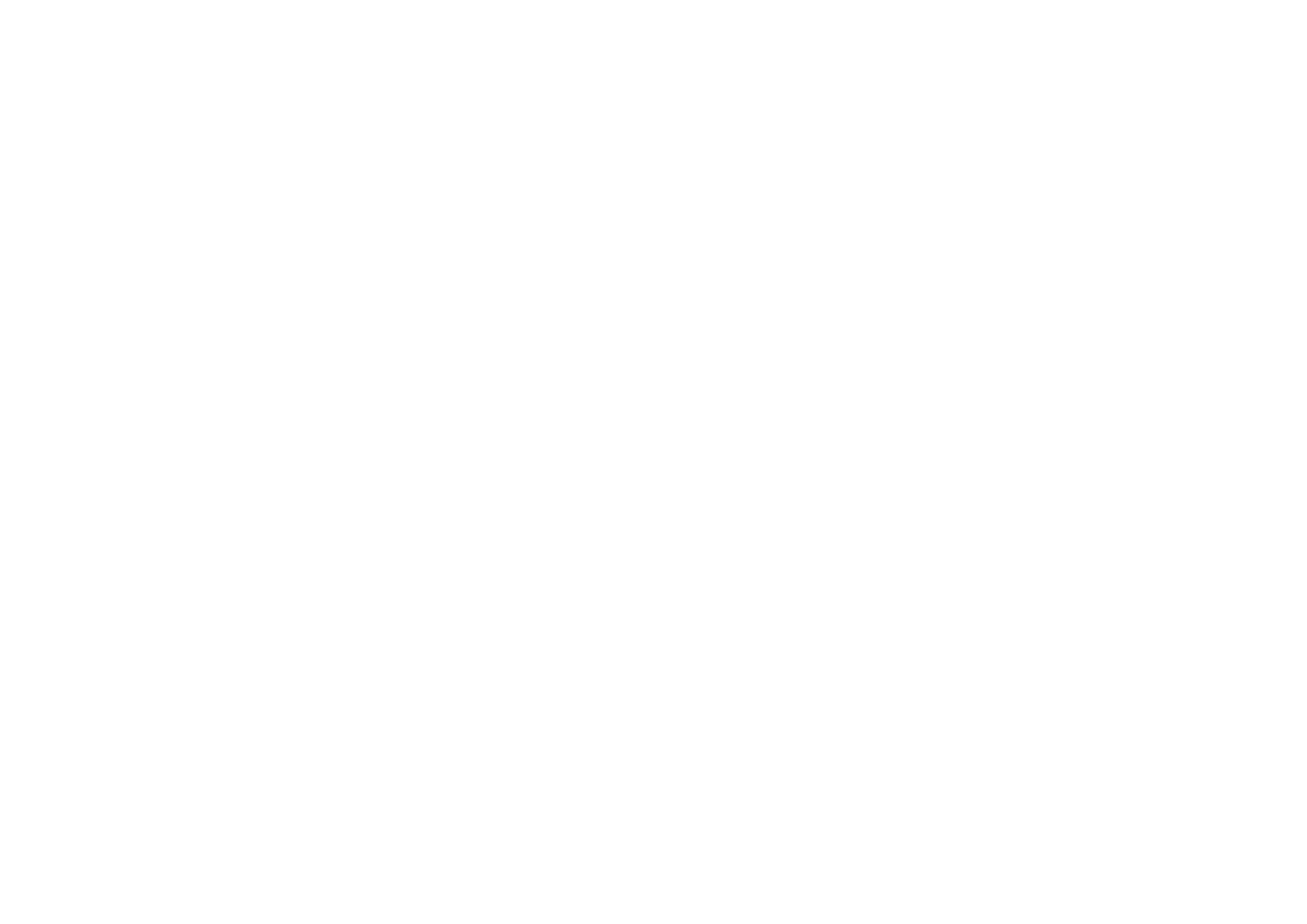|                                                                                                              |                |                |                      |                         | <b>Voting intention</b> |                |                 | <b>2010 Vote</b> |                |                | Gender         |             |          | Age            |                |              | <b>Social Grade</b> |
|--------------------------------------------------------------------------------------------------------------|----------------|----------------|----------------------|-------------------------|-------------------------|----------------|-----------------|------------------|----------------|----------------|----------------|-------------|----------|----------------|----------------|--------------|---------------------|
|                                                                                                              |                | Total          | Con I                | Lab                     | Lib<br>Dem              | <b>UKIP</b>    | Con             | Lab              | Lib<br>Dem     | Male           | Female         | 18-24 25-39 |          | 40-59          | $60+$          | ABC1         | C <sub>2</sub> DE   |
|                                                                                                              |                |                |                      |                         |                         |                |                 |                  |                |                |                |             |          |                |                |              |                     |
| <b>Weighted Sample</b>                                                                                       |                | 2103           | 579                  | 610                     | $\overline{152}$        | 172            | 638             | 515              | 417            | 1020           | 1083           | 250         | 532      | 719            | 601            | 1199         | 904                 |
| Unweighted Sample                                                                                            |                | 2103<br>%      | 526<br>$\frac{0}{2}$ | 642<br>%                | 139<br>%                | 194<br>%       | 590<br>%        | 547<br>%         | 430<br>%       | 100<br>%       | 1099<br>%      | 223<br>%    | 429<br>% | 873<br>%       | 578<br>%       | 1358<br>%    | 745<br>%            |
|                                                                                                              | Mar            | Mar            |                      |                         |                         |                |                 |                  |                |                |                |             |          |                |                |              |                     |
|                                                                                                              | $13 - 14$      | $20 - 21$      |                      |                         |                         |                |                 |                  |                |                |                |             |          |                |                |              |                     |
| Do you think the Conservative and Liberal Democrat<br>coalition partners are working together well or badly? |                |                |                      |                         |                         |                |                 |                  |                |                |                |             |          |                |                |              |                     |
|                                                                                                              |                |                |                      |                         |                         |                |                 |                  |                |                |                |             |          |                |                |              |                     |
| Very well                                                                                                    | $\overline{c}$ | 3              | 5                    | 1                       | $\overline{7}$          | $\mathbf{1}$   | 4               | $\mathbf{1}$     | 3              | 3              | $\overline{2}$ | 2           | 4        | $\overline{2}$ | $\overline{2}$ | 3            | $\mathbf{1}$        |
| Fairly well                                                                                                  | 28             | 30             | 62                   | 9                       | 54                      | 23             | 48              | 11               | 37             | 35             | 26             | 22          | 28       | 34             | 31             | 35           | 24                  |
| <b>TOTAL WELL</b>                                                                                            | 30             | 33             | 67                   | 10                      | 61                      | 24             | 52              | 12               | 40             | 38             | 28             | 24          | 32       | 36             | 33             | 38           | 25                  |
| Fairly badly                                                                                                 | 35             | 32             | 23                   | 41                      | 22                      | 39             | 30              | 39               | 32             | 30             | 34             | 35          | 28       | 30             | 36             | 31           | 33                  |
| Very badly                                                                                                   | 26             | 25             | $\overline{4}$       | 44                      | 9                       | 35             | 12              | 42               | 22             | 26             | 24             | 19          | 24       | 27             | 25             | 22           | 29                  |
| <b>TOTAL BADLY</b>                                                                                           | 61             | 57             | 27                   | 85                      | 31                      | 74             | 42              | 81               | 54             | 56             | 58             | 54          | 52       | 57             | 61             | 53           | 62                  |
| Don't know                                                                                                   | 9              | 10             | 6                    | 6                       | 8                       | $\overline{2}$ | 5               | 6                | 6              | 6              | 14             | 22          | 15       | 6              | 5              | 8            | 13                  |
| Do you think this coalition government is good or bad                                                        |                |                |                      |                         |                         |                |                 |                  |                |                |                |             |          |                |                |              |                     |
| for people like you?                                                                                         |                |                |                      |                         |                         |                |                 |                  |                |                |                |             |          |                |                |              |                     |
| Very good                                                                                                    | 3              | $\mathbf{2}$   | 6                    | $\mathbf 0$             | 5                       | $\mathbf{1}$   | 4               | $\mathbf{1}$     | $\overline{c}$ | 4              | $\mathbf{1}$   | 4           | 3        | $\mathbf{1}$   | $\sqrt{2}$     | 3            | $\mathbf{1}$        |
| Fairly good                                                                                                  | 18             | 20             | 44                   | $\overline{4}$          | 40                      | 17             | 34              | $\overline{7}$   | 23             | 23             | 17             | 15          | 21       | 20             | 21             | 24           | 15                  |
| <b>TOTAL GOOD</b>                                                                                            | 21             | 22             | 50                   | $\overline{\mathbf{4}}$ | 45                      | 18             | 38              | 8                | 25             | 27             | 18             | 19          | 24       | 21             | 23             | 27           | 16                  |
| Fairly bad                                                                                                   | 29             | 23             | 17                   | 29                      | 16                      | 28             | 22              | 29               | 22             | 21             | 24             | 20          | 21       | 21             | 27             | 23           | 22                  |
| Very bad                                                                                                     | 26             | 27             | $\overline{7}$       | 51                      | 9                       | 39             | 14              | 45               | 26             | 29             | 26             | 19          | 28       | 30             | 28             | 24           | 32                  |
| <b>TOTAL BAD</b>                                                                                             | 55             | 50             | 24                   | 80                      | 25                      | 67             | 36              | 74               | 48             | 50             | 50             | 39          | 49       | 51             | 55             | 47           | 54                  |
| Doesn't make much difference either way                                                                      | 18             | 22             | 23                   | 14                      | 25                      | 14             | 24              | 15               | 25             | 19             | 25             | 26          | 19       | 25             | 20             | 21           | 23                  |
| Don't know                                                                                                   | 6              | 6              | $\overline{2}$       | $\mathbf{1}$            | 5                       | $\mathbf{1}$   | $\overline{2}$  | 3                | $\overline{2}$ | 3              | 8              | 17          | 8        | 3              | $\overline{2}$ | 5            | $\overline{7}$      |
| Do you think the coalition government is managing the<br>economy well or badly?                              |                |                |                      |                         |                         |                |                 |                  |                |                |                |             |          |                |                |              |                     |
| Very well                                                                                                    | $\overline{7}$ | $\overline{7}$ | 21                   | $\mathbf 0$             | 6                       | 2              | 16              | $\mathbf{1}$     | $\overline{c}$ | 9              | $\overline{4}$ | 4           | 6        | $\overline{7}$ | 8              | 8            | 5                   |
| Fairly well                                                                                                  | 34             | 35             | 67                   | 10                      | 50                      | 42             | 59              | 17               | 36             | 38             | 33             | 28          | 32       | 35             | 41             | 41           | 28                  |
| <b>TOTAL WELL</b>                                                                                            | 41             | 42             | 88                   | 10                      | 56                      | 44             | 75              | 18               | 38             | 47             | 37             | 32          | 38       | 42             | 49             | 49           | 33                  |
| Fairly badly                                                                                                 | 29             | 28             | $\overline{7}$       | 47                      | 28                      | 30             | 15              | 43               | 35             | 26             | 30             | 27          | 31       | 28             | 27             | 27           | 31                  |
| Very badly                                                                                                   | 19             | 19             | $\overline{2}$       | 36                      | $\overline{7}$          | 19             | 5               | 32               | 18             | 20             | 18             | 17          | 18       | 23             | 16             | 17           | 22                  |
| <b>TOTAL BADLY</b>                                                                                           | 48             | 47             | 9                    | 83                      | 35                      | 49             | 20              | 75               | 53             | 46             | 48             | 44          | 49       | 51             | 43             | 44           | 53                  |
| Don't know                                                                                                   | 11             | 11             | 3                    | 8                       | 10                      | 6              | 5               | $\overline{7}$   | 9              | $\overline{7}$ | 14             | 23          | 13       | 8              | 8              | 8            | 14                  |
| In your opinion how good or bad is the state of Britain's<br>economy at the moment?                          |                |                |                      |                         |                         |                |                 |                  |                |                |                |             |          |                |                |              |                     |
| Very good                                                                                                    | $\mathbf{1}$   | 1              | 4                    | 0                       | $\mathbf{1}$            | 0              | 3               | 0                | $\mathbf{1}$   | $\mathbf 1$    | 1              | $\mathbf 1$ | 2        | $\mathbf{1}$   | $\mathbf{1}$   | $\mathbf{1}$ | $\overline{2}$      |
| Quite good                                                                                                   | 18             | 17             | 43                   | 4                       | 20                      | 15             | 34              | $6\phantom{1}$   | 13             | 21             | 14             | 16          | 18       | 15             | 20             | 22           | 12                  |
| <b>TOTAL GOOD</b>                                                                                            | 19             | 18             | 47                   | $\overline{\mathbf{4}}$ | 21                      | 15             | 37              | $6\phantom{1}$   | 14             | 22             | 15             | 17          | 20       | 16             | 21             | 23           | 14                  |
| Neither good nor bad                                                                                         | 31             | 32             | 33                   | 23                      | 52                      | 38             | 34              | 27               | 38             | 32             | 32             | 32          | 30       | 32             | 34             | 33           | 31                  |
| Quite bad                                                                                                    | 34             | 32             | 17                   | 49                      | 21                      | 30             | 21              | 46               | 33             | 32             | 33             | 30          | 31       | 35             | 31             | 30           | 35                  |
| Very bad                                                                                                     | 12             | 13             | $\overline{2}$       | 21                      | 3                       | 14             | $6\phantom{1}6$ | 19               | 12             | 12             | 14             | $9\,$       | 13       | 15             | 11             | 11           | 15                  |
| <b>TOTAL BAD</b>                                                                                             | 46             | 45             | 19                   | 70                      | 24                      | 44             | 27              | 65               | 45             | 44             | 47             | 39          | 44       | 50             | 42             | 41           | 50                  |
| Don't know                                                                                                   | $\overline{4}$ | 4              | $\mathbf{1}$         | 2                       | 4                       | 2              | $\overline{2}$  | $\overline{2}$   | 3              | 3              | 6              | 12          | 6        | $\overline{2}$ | $\overline{2}$ | 3            | 6                   |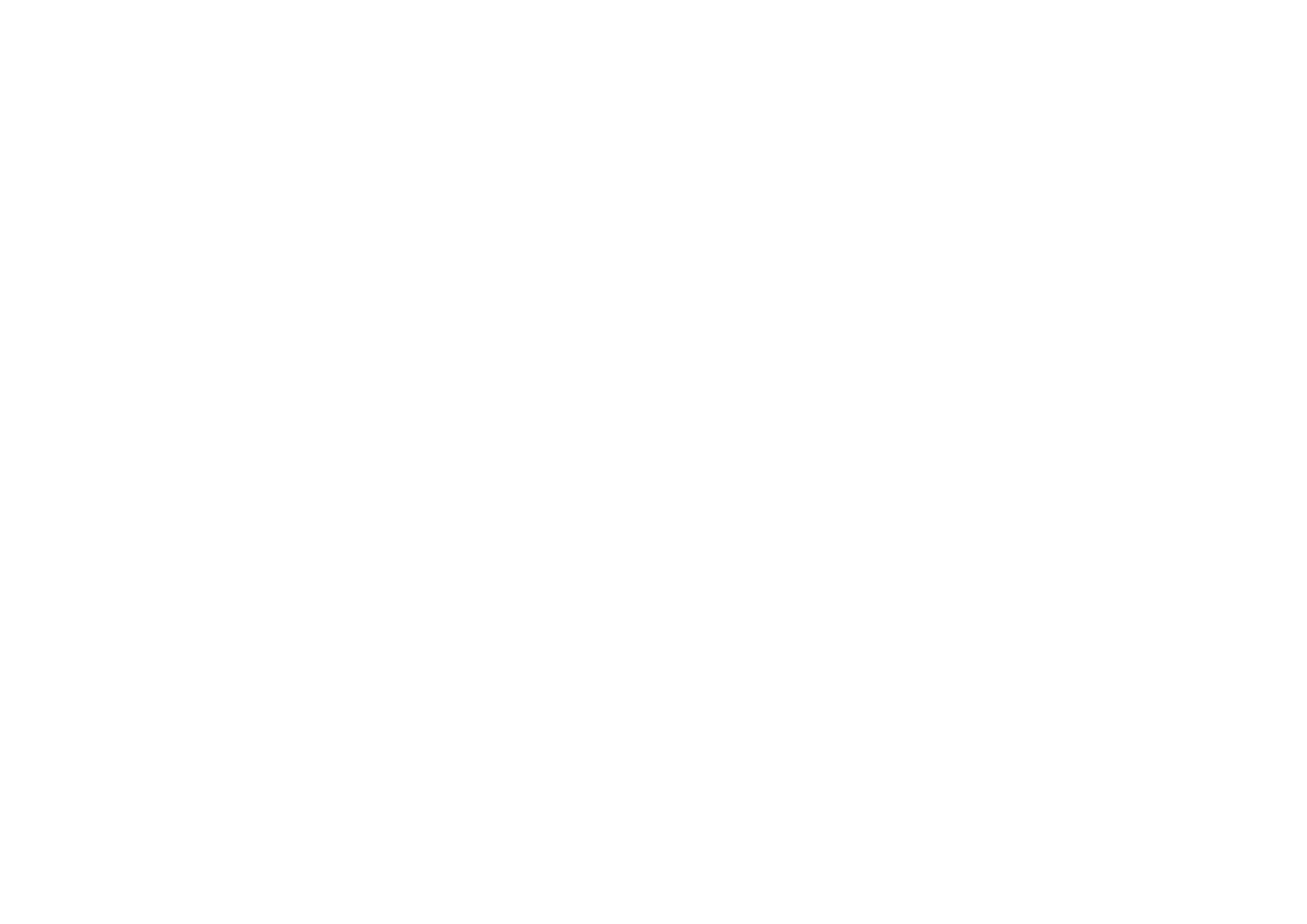|                                                                                                              |                  |                         |                |                  | Region                   |                |                |                  |                      | <b>Household Income</b> |                  |
|--------------------------------------------------------------------------------------------------------------|------------------|-------------------------|----------------|------------------|--------------------------|----------------|----------------|------------------|----------------------|-------------------------|------------------|
|                                                                                                              |                  | Total                   | London         | Rest of<br>South | <b>Midlands</b><br>Wales | <b>North</b>   | Scotland       | Under<br>£25,000 | £25,000 -<br>£39,999 | £40,000 -<br>£59,999    | £Over<br>£60,000 |
|                                                                                                              |                  | 2103                    | 269            | 683              | 450                      | 517            | 183            | 672              |                      | 274                     | 200              |
| <b>Weighted Sample</b><br>Unweighted Sample                                                                  |                  | 2103                    | 293            | 670              | 468                      | 489            | 183            | 632              | 436<br>428           | 284                     | 236              |
|                                                                                                              |                  | $\%$                    | %              | %                | %                        | %              | %              | %                | %                    | $\%$                    | %                |
|                                                                                                              | Mar<br>$13 - 14$ | Mar<br>$20 - 21$        |                |                  |                          |                |                |                  |                      |                         |                  |
| Do you think the Conservative and Liberal Democrat<br>coalition partners are working together well or badly? |                  |                         |                |                  |                          |                |                |                  |                      |                         |                  |
| Very well                                                                                                    | $\overline{c}$   | 3                       | $\overline{2}$ | 3                | 3                        | 3              | $\mathbf{1}$   | $\sqrt{2}$       | 3                    | 4                       | 3                |
| Fairly well                                                                                                  | 28               | 30                      | 36             | 35               | 27                       | 27             | 21             | 26               | 26                   | 41                      | 45               |
| <b>TOTAL WELL</b>                                                                                            | 30               | 33                      | 38             | 38               | 30                       | 30             | 22             | 28               | 29                   | 45                      | 48               |
| Fairly badly                                                                                                 | 35               | 32                      | 31             | 33               | 29                       | 34             | 33             | 33               | 35                   | 27                      | 29               |
| Very badly                                                                                                   | 26               | 25                      | 22             | 20               | 28                       | 27             | 38             | 28               | 27                   | 19                      | 19               |
| <b>TOTAL BADLY</b>                                                                                           | 61               | 57                      | 53             | 53               | 57                       | 61             | 71             | 61               | 62                   | 46                      | 48               |
| Don't know                                                                                                   | 9                | 10                      | 9              | 10               | 14                       | 9              | $\overline{7}$ | 10               | 9                    | 10                      | 3                |
| Do you think this coalition government is good or bad<br>for people like you?                                |                  |                         |                |                  |                          |                |                |                  |                      |                         |                  |
| Very good                                                                                                    | $\mathfrak{3}$   | $\bf{2}$                | $\mathbf{1}$   | 4                | $\overline{2}$           | $\overline{2}$ | $\overline{2}$ | 3                | $\boldsymbol{2}$     | 3                       | 3                |
| Fairly good                                                                                                  | 18               | 20                      | 26             | 22               | 18                       | 18             | 13             | 15               | 19                   | 27                      | 37               |
| <b>TOTAL GOOD</b>                                                                                            | 21               | 22                      | 27             | 26               | 20                       | 20             | 15             | 18               | 21                   | 30                      | 40               |
| Fairly bad                                                                                                   | 29               | 23                      | 23             | 19               | 23                       | 23             | 30             | 24               | 21                   | 16                      | 22               |
| Very bad                                                                                                     | 26               | 27                      | 25             | 23               | 29                       | 29             | 37             | 33               | 28                   | 24                      | 20               |
| <b>TOTAL BAD</b>                                                                                             | 55               | 50                      | 48             | 42               | 52                       | 52             | 67             | 57               | 49                   | 40                      | 42               |
| Doesn't make much difference either way                                                                      | 18               | 22                      | 20             | 24               | 22                       | 24             | 14             | 20               | 25                   | 27                      | 18               |
| Don't know                                                                                                   | 6                | 6                       | 6              | $\overline{7}$   | 6                        | $\overline{4}$ | 5              | 5                | 5                    | $\overline{4}$          | $\pmb{0}$        |
| Do you think the coalition government is managing the<br>economy well or badly?                              |                  |                         |                |                  |                          |                |                |                  |                      |                         |                  |
| Very well                                                                                                    | 7                | $\overline{\mathbf{r}}$ | 5              | 8                | 6                        | 6              | 4              | 6                | 6                    | 9                       | 11               |
| Fairly well                                                                                                  | 34               | 35                      | 41             | 40               | 33                       | 31             | 24             | 31               | 33                   | 41                      | 48               |
| <b>TOTAL WELL</b>                                                                                            | 41               | 42                      | 46             | 48               | 39                       | 37             | 28             | 37               | 39                   | 50                      | 59               |
| Fairly badly                                                                                                 | 29               | 28                      | 29             | 26               | 27                       | 33             | 30             | 32               | 33                   | 26                      | 25               |
| Very badly                                                                                                   | 19               | 19                      | 17             | 15               | 20                       | 21             | 28             | 21               | 19                   | 14                      | 13               |
| <b>TOTAL BADLY</b>                                                                                           | 48               | 47                      | 46             | 41               | 47                       | 54             | 58             | 53               | 52                   | 40                      | 38               |
| Don't know<br>In your opinion how good or bad is the state of Britain's<br>economy at the moment?            | 11               | 11                      | 8              | 10               | 13                       | 10             | 14             | 10               | 9                    | 10                      | $\overline{4}$   |
| Very good                                                                                                    | $\mathbf{1}$     | 1                       | 1              | $\overline{2}$   | $\overline{2}$           | $\mathbf{1}$   | 0              | $\mathbf{1}$     | 2                    | 0                       | $\overline{2}$   |
| Quite good                                                                                                   | 18               | 17                      | 23             | 20               | 15                       | 15             | 10             | 12               | 17                   | 28                      | 25               |
| <b>TOTAL GOOD</b>                                                                                            | 19               | 18                      | 24             | 22               | 17                       | 16             | 10             | 13               | 19                   | 28                      | 27               |
| Neither good nor bad                                                                                         | 31               | 32                      | 32             | 35               | 29                       | 31             | 32             | 32               | 33                   | 30                      | 33               |
| Quite bad                                                                                                    | 34               | 32                      | 30             | 27               | 34                       | 36             | 39             | 35               | 35                   | 31                      | 31               |
| Very bad                                                                                                     | 12               | 13                      | 9              | 11               | 14                       | 15             | 16             | 15               | 11                   | 9                       | 8                |
| <b>TOTAL BAD</b>                                                                                             | 46               | 45                      | 39             | 38               | 48                       | 51             | 55             | 50               | 46                   | 40                      | 39               |
| Don't know                                                                                                   | $\overline{4}$   | 4                       | 5              | 4                | 6                        | 3              | 3              | $\overline{4}$   | $\overline{2}$       | 3                       | $\mathbf 0$      |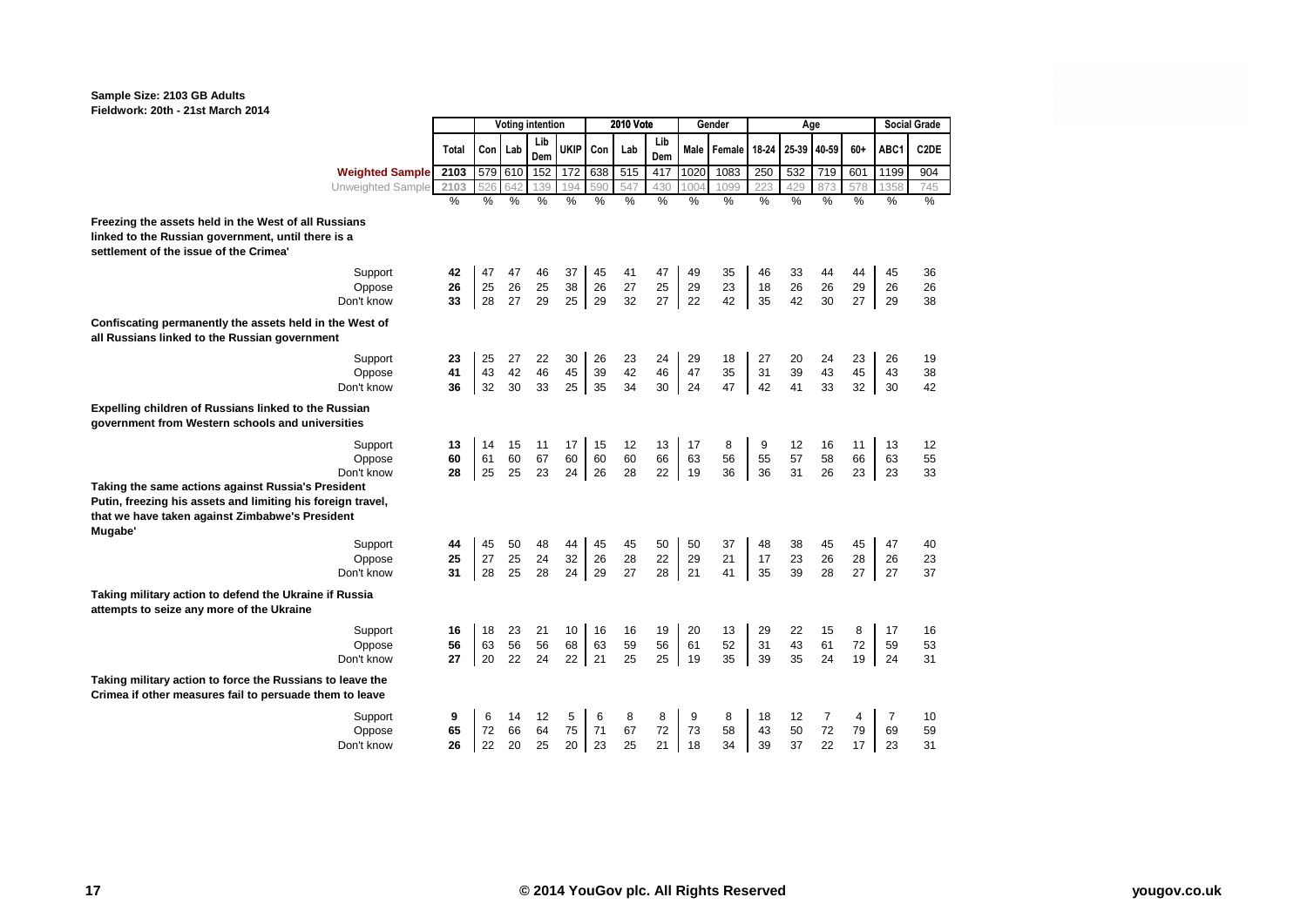| 1 1 GIUW OI N. ZULII - ZI SL IVIGI                          |                |                                |                | <b>Voting intention</b> |              |                | 2010 Vote      |          |                | Gender         |          | Age               |                |              |                | <b>Social Grade</b> |
|-------------------------------------------------------------|----------------|--------------------------------|----------------|-------------------------|--------------|----------------|----------------|----------|----------------|----------------|----------|-------------------|----------------|--------------|----------------|---------------------|
|                                                             |                |                                |                | Lib                     |              |                |                | Lib      |                |                |          |                   |                |              |                |                     |
|                                                             | Total          | Con Lab                        |                | Dem                     | UKIP         | Con            | Lab            | Dem      |                | Male   Female  |          | 18-24 25-39 40-59 |                | 60+          | ABC1           | C <sub>2</sub> DE   |
| <b>Weighted Sample</b>                                      | 2103           | 579                            | 610            | 152                     | 172          | 638            | 515            | 417      | 1020           | 1083           | 250      | 532               | 719            | 601          | 1199           | 904                 |
| Unweighted Sample                                           | 2103           | 526                            | 642            | 139                     | 194          | 590            | 547            | 430      | 1004           | 1099           | 223      | 429               | 873            | 578          | 1358           | 745                 |
|                                                             | %              | %                              | %              | %                       | %            | %              | %              | %        | $\frac{0}{6}$  | %              | %        | %                 | %              | %            | %              | %                   |
| Mar                                                         | Mar            |                                |                |                         |              |                |                |          |                |                |          |                   |                |              |                |                     |
| $13 - 14$                                                   | $20 - 21$      |                                |                |                         |              |                |                |          |                |                |          |                   |                |              |                |                     |
| How do you think the financial situation of your            |                |                                |                |                         |              |                |                |          |                |                |          |                   |                |              |                |                     |
| household will change over the next 12 months?              |                |                                |                |                         |              |                |                |          |                |                |          |                   |                |              |                |                     |
| 2<br>Get a lot better                                       | $\mathbf 2$    | 3                              | $\mathbf{1}$   | 1                       | $\mathbf{1}$ | 2              | $\mathbf{1}$   | 2        | $\overline{2}$ | $\mathbf{1}$   | 3        | 2                 | $\mathbf{1}$   | $\mathbf{1}$ | 2              | $\mathbf{1}$        |
| Get a little better<br>14                                   | 17             | 35                             | $\overline{7}$ | 26                      | 11           | 28             | $\overline{7}$ | 15       | 22             | 12             | 25       | 22                | 14             | 13           | 21             | 12                  |
| <b>TOTAL BETTER</b><br>16                                   | 19             | 38                             | 8              | 27                      | 12           | 30             | 8              | 17       | 24             | 13             | 28       | 24                | 15             | 14           | 23             | 13                  |
| 42<br>Stay about the same                                   | 39             | 44                             | 36             | 43                      | 36           | 42             | 36             | 43       | 38             | 39             | 35       | 34                | 38             | 45           | 40             | 37                  |
| 26<br>Get a little worse                                    | 27             | 15                             | 34             | 21                      | 34           | 20             | 38             | 25       | 26             | 28             | 15       | 26                | 29             | 29           | 24             | 30                  |
| Get a lot worse<br>10                                       | 11             | $\mathbf{1}$                   | 18             | 3                       | 16           | $\sqrt{5}$     | 15             | 11       | 8              | 13             | 6        | 10                | 14             | 10           | 9              | 13                  |
| <b>TOTAL WORSE</b><br>36                                    | 38             | 16                             | 52             | 24                      | 50           | 25             | 53             | 36       | 34             | 41             | 21       | 36                | 43             | 39           | 33             | 43                  |
| 6<br>Don't know                                             | 5              | $\mathbf{1}$                   | 4              | 5                       | 3            | $\overline{2}$ | 3              | 5        | $\overline{4}$ | 6              | 15       | 6                 | $\overline{4}$ | 2            | $\overline{4}$ | $\overline{7}$      |
| Mar                                                         | Mar            |                                |                |                         |              |                |                |          |                |                |          |                   |                |              |                |                     |
| $24 - 25$                                                   | $20 - 21$      |                                |                |                         |              |                |                |          |                |                |          |                   |                |              |                |                     |
| 2010                                                        | 2014           |                                |                |                         |              |                |                |          |                |                |          |                   |                |              |                |                     |
| Who do you think would make the best Chancellor of          |                |                                |                |                         |              |                |                |          |                |                |          |                   |                |              |                |                     |
| the Exchequer?                                              |                |                                |                |                         |              |                |                |          |                |                |          |                   |                |              |                |                     |
| [Previously asked in 2010 as Alistair Darling instead of Ed |                |                                |                |                         |              |                |                |          |                |                |          |                   |                |              |                |                     |
| Balls]                                                      |                |                                |                |                         |              |                |                |          |                |                |          |                   |                |              |                |                     |
| George Osborne<br>14                                        | 29             | 76                             | 3              | 15                      | 32           | 65             | 8              | 13       | 35             | 23             | 19       | 26                | 28             | 37           | 34             | 22                  |
| Ed Balls<br>20                                              | 14             | $\overline{2}$                 | 40             | $\overline{4}$          | $\,6$        | 3              | 35             | 14       | 15             | 13             | 11       | 13                | 16             | 15           | 13             | 16                  |
| Vince Cable<br>24                                           | 13             | 5                              | 15             | 42                      | 12           | 6              | 11             | 31       | 16             | 10             | 16       | 13                | 13             | 12           | 15             | 11                  |
| Don't know<br>43                                            | 44             | 17                             | 42             | 39                      | 50           | 26             | 46             | 42       | 33             | 54             | 54       | 48                | 43             | 36           | 38             | 51                  |
|                                                             |                |                                |                |                         |              |                |                |          |                |                |          |                   |                |              |                |                     |
| How much confidence, if any, do you have in David           |                |                                |                |                         |              |                |                |          |                |                |          |                   |                |              |                |                     |
| Cameron and the coalition government to steer the           |                |                                |                |                         |              |                |                |          |                |                |          |                   |                |              |                |                     |
| country out of the current economic crisis?                 |                |                                |                |                         |              |                |                |          |                |                |          |                   |                |              |                |                     |
|                                                             |                |                                |                |                         |              |                |                |          |                |                |          |                   |                |              |                |                     |
| A lot of confidence                                         | 10             | 31                             | $\overline{1}$ | 6                       | 3            | 24             | $\mathbf{1}$   | 3        | 13             | $\overline{7}$ | 8        | 8                 | 10             | 12           | 12             | $\overline{7}$      |
| Some confidence                                             | 35             | 60                             | 14             | 48                      | 46           | 55             | 15             | 36       | 37             | 32             | 28       | 36                | 32             | 39           | 38             | 30                  |
| <b>TOTAL CONFIDENCE</b>                                     | 45             | 91                             | 15             | 54                      | 49           | 79             | 16             | 39       | 50             | 39             | 36       | 44                | 42             | 51           | 50             | 37                  |
| Not a lot of confidence                                     | 26             | 6                              | 40             | 30                      | 22<br>26     | 13             | 39             | 32       | 23             | 28             | 26       | 25                | 28             | 24<br>22     | 25             | 26                  |
| No confidence at all<br><b>TOTAL NO CONFIDENCE</b>          | 23<br>49       | $\mathbf{1}$<br>$\overline{7}$ | 44<br>84       | 10<br>40                | 48           | 6<br>19        | 39<br>78       | 24<br>56 | 23<br>46       | 24<br>52       | 21<br>47 | 22<br>47          | 26<br>54       | 46           | 20<br>45       | 27<br>53            |
|                                                             | $\overline{7}$ |                                |                |                         |              |                |                |          |                |                | 17       |                   |                |              |                |                     |
| Don't know                                                  |                | $\overline{c}$                 | 3              | 6                       | 4            | 3              | 5              | 5        | $\overline{4}$ | 9              |          | 9                 | 5              | 3            | 5              | 9                   |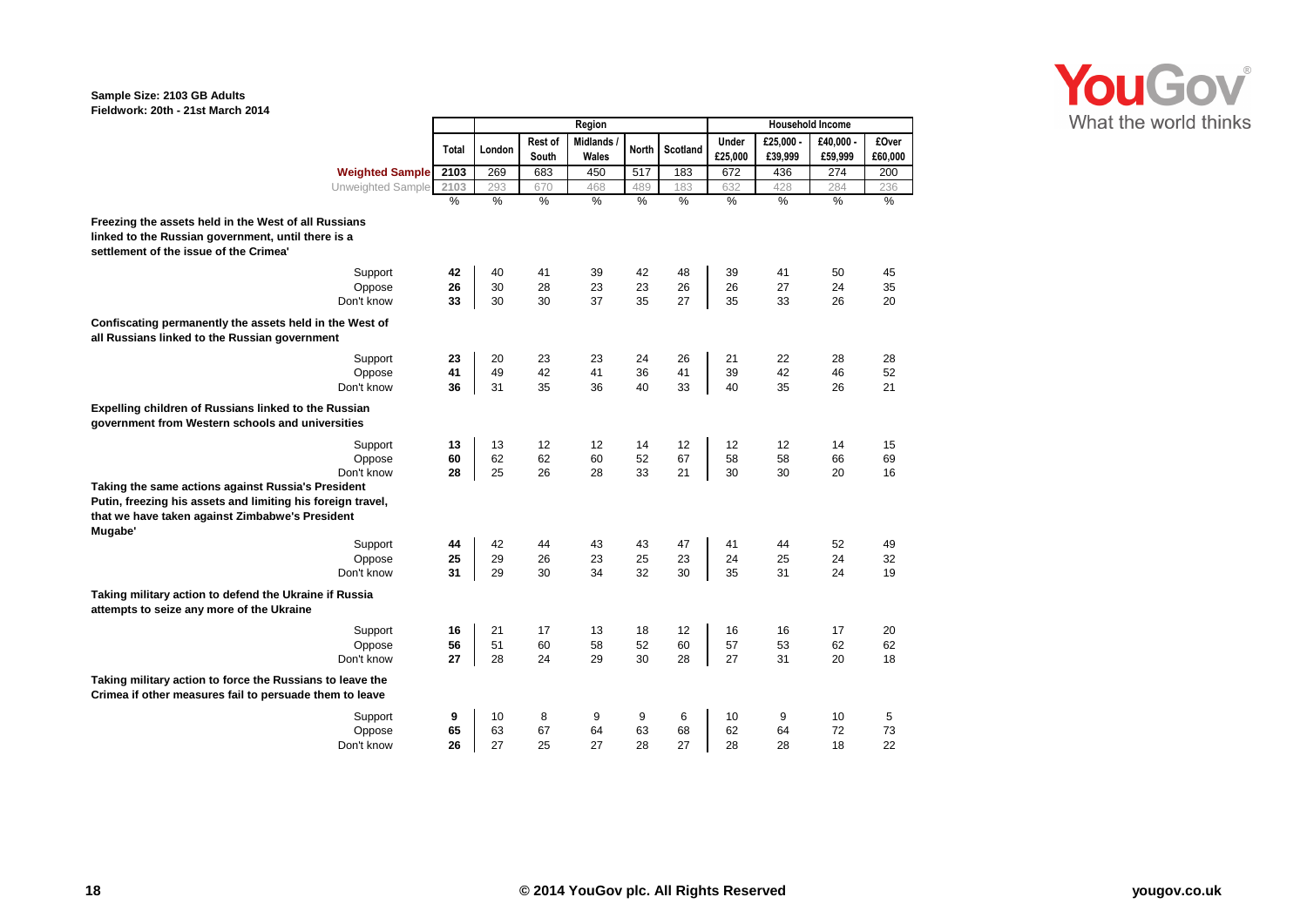|                                                                                                                                                       |                |                         |                |                         | Region                   |              |                 |                  |                      | <b>Household Income</b> |                  |
|-------------------------------------------------------------------------------------------------------------------------------------------------------|----------------|-------------------------|----------------|-------------------------|--------------------------|--------------|-----------------|------------------|----------------------|-------------------------|------------------|
|                                                                                                                                                       |                | Total                   | London         | <b>Rest of</b><br>South | <b>Midlands</b><br>Wales | <b>North</b> | <b>Scotland</b> | Under<br>£25,000 | £25.000 -<br>£39,999 | £40.000 -<br>£59,999    | £Over<br>£60,000 |
| <b>Weighted Sample</b>                                                                                                                                |                | 2103                    | 269            | 683                     | 450                      | 517          | 183             | 672              | 436                  | 274                     | 200              |
| Unweighted Sample                                                                                                                                     |                | 2103                    | 293            | 670                     | 468                      | 489          | 183             | 632              | 428                  | 284                     | 236              |
|                                                                                                                                                       |                | $\%$                    | $\frac{9}{6}$  | $\frac{0}{0}$           | $\frac{0}{2}$            | %            | $\frac{0}{0}$   | %                | $\frac{0}{0}$        | %                       | $\frac{0}{0}$    |
|                                                                                                                                                       | Mar            | Mar                     |                |                         |                          |              |                 |                  |                      |                         |                  |
|                                                                                                                                                       | $13 - 14$      | $20 - 21$               |                |                         |                          |              |                 |                  |                      |                         |                  |
| How do you think the financial situation of your                                                                                                      |                |                         |                |                         |                          |              |                 |                  |                      |                         |                  |
| household will change over the next 12 months?                                                                                                        |                |                         |                |                         |                          |              |                 |                  |                      |                         |                  |
| Get a lot better                                                                                                                                      | $\overline{c}$ | $\overline{\mathbf{2}}$ | $\overline{c}$ | $\mathbf{1}$            | 2                        | $\mathbf{1}$ | 1               | 1                | $\overline{2}$       | $\mathbf{1}$            | 5                |
| Get a little better                                                                                                                                   | 14             | 17                      | 18             | 22                      | 15                       | 14           | 11              | 14               | 18                   | 25                      | 30               |
| <b>TOTAL BETTER</b>                                                                                                                                   | 16             | 19                      | 20             | 23                      | 17                       | 15           | 12              | 15               | 20                   | 26                      | 35               |
| Stay about the same                                                                                                                                   | 42             | 39                      | 40             | 40                      | 39                       | 37           | 39              | 34               | 41                   | 42                      | 37               |
| Get a little worse                                                                                                                                    | 26             | 27                      | 22             | 23                      | 27                       | 32           | 30              | 32               | 27                   | 23                      | 22               |
| Get a lot worse                                                                                                                                       | 10             | 11                      | 12             | 10                      | 12                       | 10           | 12              | 15               | 10                   | $\overline{7}$          | 4                |
| <b>TOTAL WORSE</b>                                                                                                                                    | 36             | 38                      | 34             | 33                      | 39                       | 42           | 42              | 47               | 37                   | 30                      | 26               |
| Don't know                                                                                                                                            | 6              | 5                       | 6              | 5                       | 5                        | 5            | $\overline{7}$  | 5                | $\overline{2}$       | 3                       | 2                |
|                                                                                                                                                       | Mar            | Mar                     |                |                         |                          |              |                 |                  |                      |                         |                  |
|                                                                                                                                                       | 24-25          | $20 - 21$               |                |                         |                          |              |                 |                  |                      |                         |                  |
|                                                                                                                                                       | 2010           | 2014                    |                |                         |                          |              |                 |                  |                      |                         |                  |
| Who do you think would make the best Chancellor of                                                                                                    |                |                         |                |                         |                          |              |                 |                  |                      |                         |                  |
| the Exchequer?                                                                                                                                        |                |                         |                |                         |                          |              |                 |                  |                      |                         |                  |
| [Previously asked in 2010 as Alistair Darling instead of Ed<br>Balls]                                                                                 |                |                         |                |                         |                          |              |                 |                  |                      |                         |                  |
| George Osborne                                                                                                                                        | 14             | 29                      | 30             | 33                      | 29                       | 27           | 17              | 24               | 27                   | 36                      | 44               |
| <b>Ed Balls</b>                                                                                                                                       | 20             | 14                      | 13             | 12                      | 16                       | 16           | 14              | 16               | 17                   | 13                      | 14               |
| Vince Cable                                                                                                                                           | 24             | 13                      | 14             | 13                      | 13                       | 10           | 21              | 13               | 14                   | 15                      | 14               |
| Don't know                                                                                                                                            | 43             | 44                      | 44             | 41                      | 42                       | 47           | 48              | 47               | 42                   | 36                      | 28               |
| How much confidence, if any, do you have in David<br>Cameron and the coalition government to steer the<br>country out of the current economic crisis? |                |                         |                |                         |                          |              |                 |                  |                      |                         |                  |
| A lot of confidence                                                                                                                                   |                | 10                      | 9              | 11                      | 9                        | 9            | 6               | 7                | 10                   | 11                      | 18               |
| Some confidence                                                                                                                                       |                | 35                      | 39             | 39                      | 33                       | 32           | 23              | 32               | 31                   | 43                      | 43               |
| <b>TOTAL CONFIDENCE</b>                                                                                                                               |                | 45                      | 48             | 50                      | 42                       | 41           | 29              | 39               | 41                   | 54                      | 61               |
| Not a lot of confidence                                                                                                                               |                | 26                      | 25             | 24                      | 25                       | 28           | 30              | 26               | 31                   | 21                      | 24               |
| No confidence at all                                                                                                                                  |                | 23                      | 20             | 19                      | 25                       | 26           | 34              | 28               | 24                   | 19                      | 14               |
| <b>TOTAL NO CONFIDENCE</b>                                                                                                                            |                | 49                      | 45             | 43                      | 50                       | 54           | 64              | 54               | 55                   | 40                      | 38               |
| Don't know                                                                                                                                            |                | $\overline{7}$          | 8              | $\overline{7}$          | 8                        | 5            | $\overline{7}$  | $\overline{7}$   | $\overline{4}$       | 6                       | $\overline{2}$   |
|                                                                                                                                                       |                |                         |                |                         |                          |              |                 |                  |                      |                         |                  |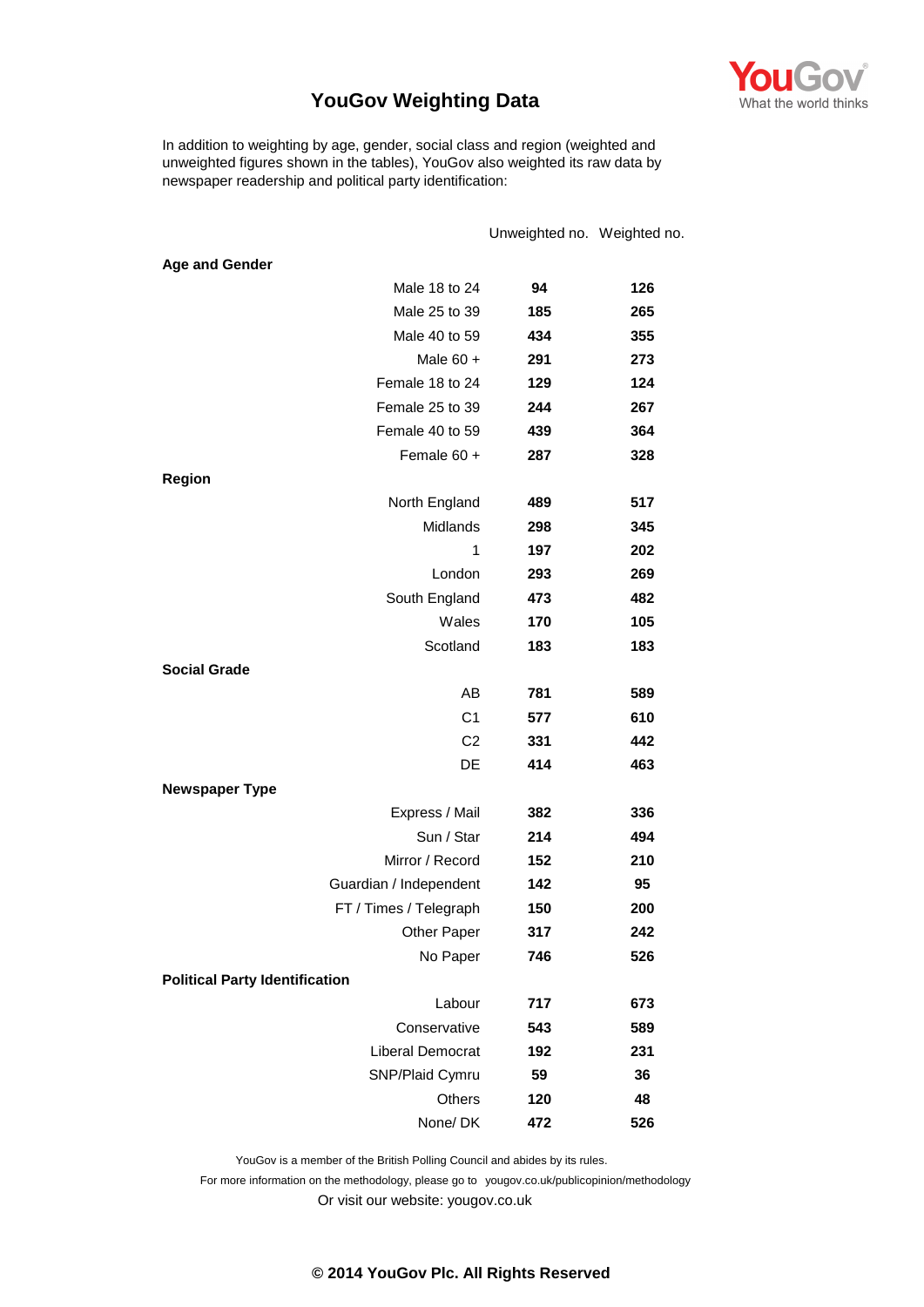|                                                                                                   |                              |                |                | <b>Voting intention</b> |                 |                | <b>2010 Vote</b> |                |                | Gender        |               | Age         |                |                |                | <b>Social Grade</b> |
|---------------------------------------------------------------------------------------------------|------------------------------|----------------|----------------|-------------------------|-----------------|----------------|------------------|----------------|----------------|---------------|---------------|-------------|----------------|----------------|----------------|---------------------|
|                                                                                                   | Total                        | Con I          | Lab            | Lib<br>Dem              | <b>UKIP</b>     | Con            | Lab              | Lib<br>Dem     | Male           | Female        | 18-24         | 25-39 40-59 |                | $60+$          | ABC1           | C <sub>2</sub> DE   |
| <b>Weighted Sample</b>                                                                            | 2103                         | 579            | 610            | 152                     | $\frac{1}{172}$ | 638            | 515              | 417            | 1020           | 1083          | 250           | 532         | 719            | 601            | 1199           | 904                 |
| Unweighted Sample 2103                                                                            |                              | 526            | 642            | 139                     | 194             | 590            | 547              | 430            | 1004           | 1099          | 223           | 429         | 873            | 578            | 1358           | 745                 |
|                                                                                                   | $\frac{0}{0}$                | %              | %              | $\%$                    | $\frac{0}{0}$   | $\frac{0}{2}$  | $\frac{0}{0}$    | $\frac{0}{0}$  | $\frac{0}{0}$  | $\frac{0}{0}$ | $\frac{0}{0}$ | $\%$        | $\%$           | $\frac{0}{0}$  | $\frac{0}{0}$  | %                   |
| Do you think the measures in this week's budget will be<br>good or bad for the economy?           |                              |                |                |                         |                 |                |                  |                |                |               |               |             |                |                |                |                     |
| Good for the economy                                                                              | 27                           | 64             | 6              | 29                      | 24              | 52             | 9                | 19             | 32             | 23            | 23            | 28          | 25             | 31             | 32             | 21                  |
| Bad for the economy                                                                               | 17                           | $\overline{4}$ | 33             | 9                       | 14              | 6              | 30               | 17             | 18             | 17            | 20            | 21          | 17             | 13             | 16             | 19                  |
| Neither good nor bad                                                                              | 39                           | 24             | 50             | 44                      | 49              | 31             | 47               | 47             | 39             | 39            | 28            | 31          | 43             | 46             | 38             | 40                  |
| Don't know                                                                                        | 16                           | 8              | 11             | 18                      | 13              | 10             | 14               | 17             | 11             | 21            | 29            | 21          | 15             | 10             | 14             | 20                  |
| Do you feel you are better off or worse off than four<br>years ago?                               |                              |                |                |                         |                 |                |                  |                |                |               |               |             |                |                |                |                     |
| Better off                                                                                        | 18                           | 35             | 8              | 18                      | 13              | 29             | $\overline{7}$   | 18             | 21             | 15            | 29            | 26          | 14             | 11             | 22             | 12                  |
| Worse off                                                                                         | 55                           | 32             | 74             | 46                      | 67              | 41             | 73               | 56             | 52             | 58            | 35            | 52          | 62             | 59             | 51             | 62                  |
| Neither better nor worse off                                                                      | 23                           | 32             | 15             | 34                      | 18              | 29             | 17               | 24             | 24             | 22            | 20            | 18          | 22             | 29             | 24             | 22                  |
| Don't know                                                                                        | 4                            | $\mathbf{1}$   | $\overline{2}$ | 2                       | $\overline{2}$  | $\overline{1}$ | 3                | $\overline{2}$ | 3              | 5             | 16            | 5           | $\overline{2}$ | $\mathbf{1}$   | $\overline{4}$ | 5                   |
| Do you feel you are better off or worse off than a year<br>ago?                                   |                              |                |                |                         |                 |                |                  |                |                |               |               |             |                |                |                |                     |
| Better off                                                                                        | 16                           | 33             | $\overline{7}$ | 20                      | 8               | 26             | 8                | 15             | 19             | 13            | 26            | 23          | 13             | 10             | 20             | 11                  |
| Worse off                                                                                         | 47                           | 25             | 66             | 32                      | 57              | 34             | 63               | 46             | 46             | 48            | 38            | 44          | 51             | 49             | 43             | 53                  |
| Neither better nor worse off                                                                      | 34                           | 42             | 25             | 45                      | 35              | 40             | 28               | 37             | 33             | 34            | 23            | 30          | 35             | 39             | 35             | 32                  |
| Don't know                                                                                        | 3                            | $\mathbf 0$    | $\overline{1}$ | 3                       | $\mathbf 0$     | $\mathbf{1}$   | $\overline{2}$   | $\overline{2}$ | $\overline{2}$ | 4             | 13            | 3           | $\mathbf{1}$   | $\overline{2}$ | 2              | $\overline{4}$      |
| And do you think you personally will be better off or<br>worse off as a result of the budget?     |                              |                |                |                         |                 |                |                  |                |                |               |               |             |                |                |                |                     |
| Better off                                                                                        | 17                           | 39             | 5              | 22                      | 13              | 31             | $\overline{7}$   | 15             | 22             | 13            | 18            | 21          | 13             | 18             | 21             | 13                  |
| Worse off                                                                                         | 22                           | $\overline{7}$ | 38             | 12                      | 29              | 12             | 32               | 19             | 22             | 22            | 21            | 22          | 27             | 17             | 20             | 25                  |
| Neither better nor worse off                                                                      | 49                           | 49             | 48             | 53                      | 54              | 50             | 52               | 51             | 46             | 51            | 38            | 44          | 49             | 56             | 49             | 48                  |
| Don't know                                                                                        | 12                           | 5              | 9              | 13                      | $\overline{4}$  | $\overline{7}$ | 10               | 15             | 9              | 15            | 22            | 13          | 10             | 9              | 10             | 14                  |
| Mar<br>$20 - 21$<br>2013                                                                          | <b>Mar 20-</b><br>21<br>2014 |                |                |                         |                 |                |                  |                |                |               |               |             |                |                |                |                     |
| Who would you most trust to make the right decisions<br>about improving the state of the economy? |                              |                |                |                         |                 |                |                  |                |                |               |               |             |                |                |                |                     |
| The Conservative/Liberal Democrat coalition<br>32                                                 | 35                           | 87             | 2              | 49                      | 33              | 71             | 6                | 29             | 41             | 29            | 23            | 30          | 34             | 43             | 42             | 25                  |
| 28<br>The Labour party                                                                            | 22                           | $\mathbf{1}$   | 68             | $\overline{7}$          | 5               | 5              | 54               | 21             | 24             | 21            | 21            | 26          | 23             | 19             | 21             | 24                  |
| 30<br>Neither                                                                                     | 31                           | 9              | 23             | 28                      | 55              | 18             | 27               | 40             | 27             | 33            | 36            | 27          | 32             | 29             | 27             | 35                  |
| 10<br>Don't know                                                                                  | 13                           | 3              | $\overline{7}$ | 17                      | 8               | 6              | 12               | 11             | 8              | 17            | 20            | 17          | 10             | 8              | 10             | 16                  |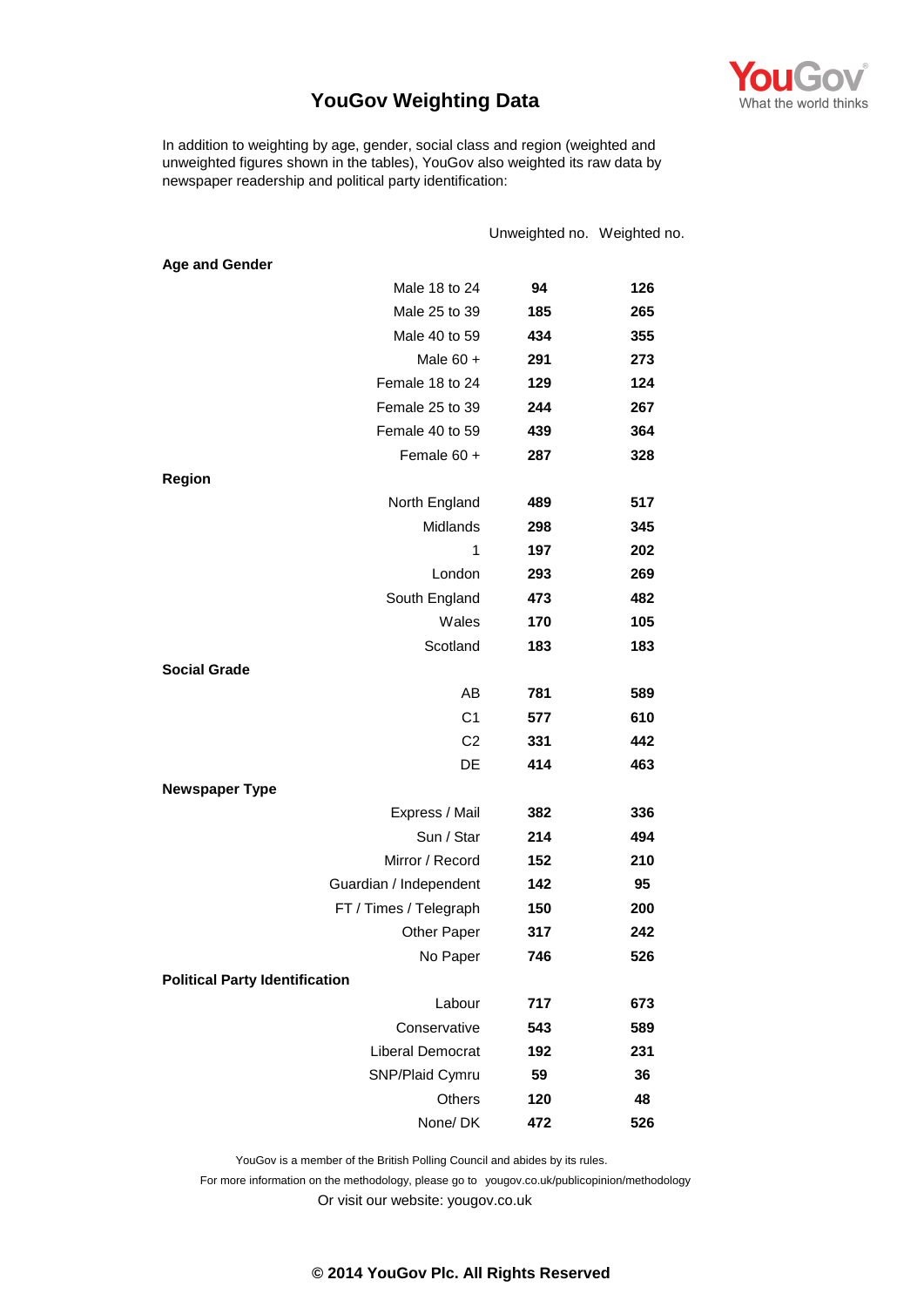|                                                                                                   |                              |               |                  | Region                   |                |                |                  | <b>Household Income</b> |                      |                  |
|---------------------------------------------------------------------------------------------------|------------------------------|---------------|------------------|--------------------------|----------------|----------------|------------------|-------------------------|----------------------|------------------|
|                                                                                                   | Total                        | London        | Rest of<br>South | <b>Midlands</b><br>Wales | <b>North</b>   | Scotland       | Under<br>£25,000 | £25.000 -<br>£39,999    | £40.000 -<br>£59,999 | £Over<br>£60,000 |
| <b>Weighted Sample</b>                                                                            | 2103                         | 269           | 683              | 450                      | 517            | 183            | 672              | 436                     | 274                  | 200              |
| Unweighted Sample 2103                                                                            |                              | 293           | 670              | 468                      | 489            | 183            | 632              | 428                     | 284                  | 236              |
|                                                                                                   | $\frac{1}{2}$                | $\frac{0}{0}$ | $\frac{0}{0}$    | $\frac{0}{0}$            | $\frac{0}{0}$  | $\frac{0}{0}$  | $\%$             | $\frac{0}{0}$           | $\frac{0}{0}$        | $\frac{0}{0}$    |
| Do you think the measures in this week's budget will be<br>good or bad for the economy?           |                              |               |                  |                          |                |                |                  |                         |                      |                  |
| Good for the economy                                                                              | 27                           | 31            | 32               | 25                       | 24             | 17             | 21               | 27                      | 38                   | 44               |
| Bad for the economy                                                                               | 17                           | 14            | 15               | 18                       | 20             | 22             | 21               | 17                      | 16                   | 13               |
| Neither good nor bad                                                                              | 39                           | 35            | 37               | 39                       | 42             | 43             | 41               | 41                      | 33                   | 32               |
| Don't know                                                                                        | 16                           | 20            | 16               | 18                       | 14             | 19             | 17               | 14                      | 12                   | 10               |
| Do you feel you are better off or worse off than four<br>years ago?                               |                              |               |                  |                          |                |                |                  |                         |                      |                  |
| Better off                                                                                        | 18                           | 21            | 20               | 17                       | 15             | 14             | 12               | 20                      | 29                   | 30               |
| Worse off                                                                                         | 55                           | 50            | 51               | 59                       | 58             | 60             | 64               | 56                      | 43                   | 46               |
| Neither better nor worse off                                                                      | 23                           | 23            | 25               | 20                       | 23             | 23             | 19               | 22                      | 26                   | 23               |
| Don't know                                                                                        | $\overline{\mathbf{4}}$      | 6             | $\overline{4}$   | $\overline{4}$           | $\overline{4}$ | $\overline{4}$ | 5                | $\overline{2}$          | 2                    | $\mathbf{1}$     |
| Do you feel you are better off or worse off than a year<br>ago?                                   |                              |               |                  |                          |                |                |                  |                         |                      |                  |
| Better off                                                                                        | 16                           | 22            | 19               | 15                       | 12             | 12             | 11               | 16                      | 29                   | 28               |
| Worse off                                                                                         | 47                           | 45            | 45               | 50                       | 48             | 51             | 57               | 46                      | 36                   | 38               |
| Neither better nor worse off                                                                      | 34                           | 28            | 33               | 32                       | 37             | 34             | 30               | 37                      | 34                   | 33               |
| Don't know                                                                                        | $\overline{\mathbf{3}}$      | 5             | 3                | 3                        | 3              | 2              | 3                | $\overline{2}$          | 2                    | $\mathbf{1}$     |
| And do you think you personally will be better off or<br>worse off as a result of the budget?     |                              |               |                  |                          |                |                |                  |                         |                      |                  |
| Better off                                                                                        | 17                           | 18            | 21               | 15                       | 16             | 10             | 13               | 18                      | 23                   | 32               |
| Worse off                                                                                         | 22                           | 22            | 20               | 22                       | 23             | 29             | 27               | 25                      | 18                   | 18               |
| Neither better nor worse off                                                                      | 49                           | 45            | 47               | 50                       | 51             | 47             | 45               | 49                      | 52                   | 46               |
| Don't know                                                                                        | 12                           | 15            | 11               | 13                       | 10             | 13             | 15               | 9                       | $\overline{7}$       | 5                |
| Mar<br>$20 - 21$<br>2013                                                                          | <b>Mar 20-</b><br>21<br>2014 |               |                  |                          |                |                |                  |                         |                      |                  |
| Who would you most trust to make the right decisions<br>about improving the state of the economy? |                              |               |                  |                          |                |                |                  |                         |                      |                  |
| 32<br>The Conservative/Liberal Democrat coalition                                                 | 35                           | 37            | 39               | 34                       | 32             | 23             | 30               | 33                      | 44                   | 53               |
| 28<br>The Labour party                                                                            | 22                           | 21            | 18               | 23                       | 25             | 29             | 26               | 24                      | 19                   | 16               |
| 30<br>Neither                                                                                     | 31                           | 30            | 28               | 32                       | 32             | 35             | 33               | 30                      | 26                   | 22               |
| 10<br>Don't know                                                                                  | 13                           | 11            | 15               | 11                       | 11             | 13             | 12               | 12                      | 11                   | 10               |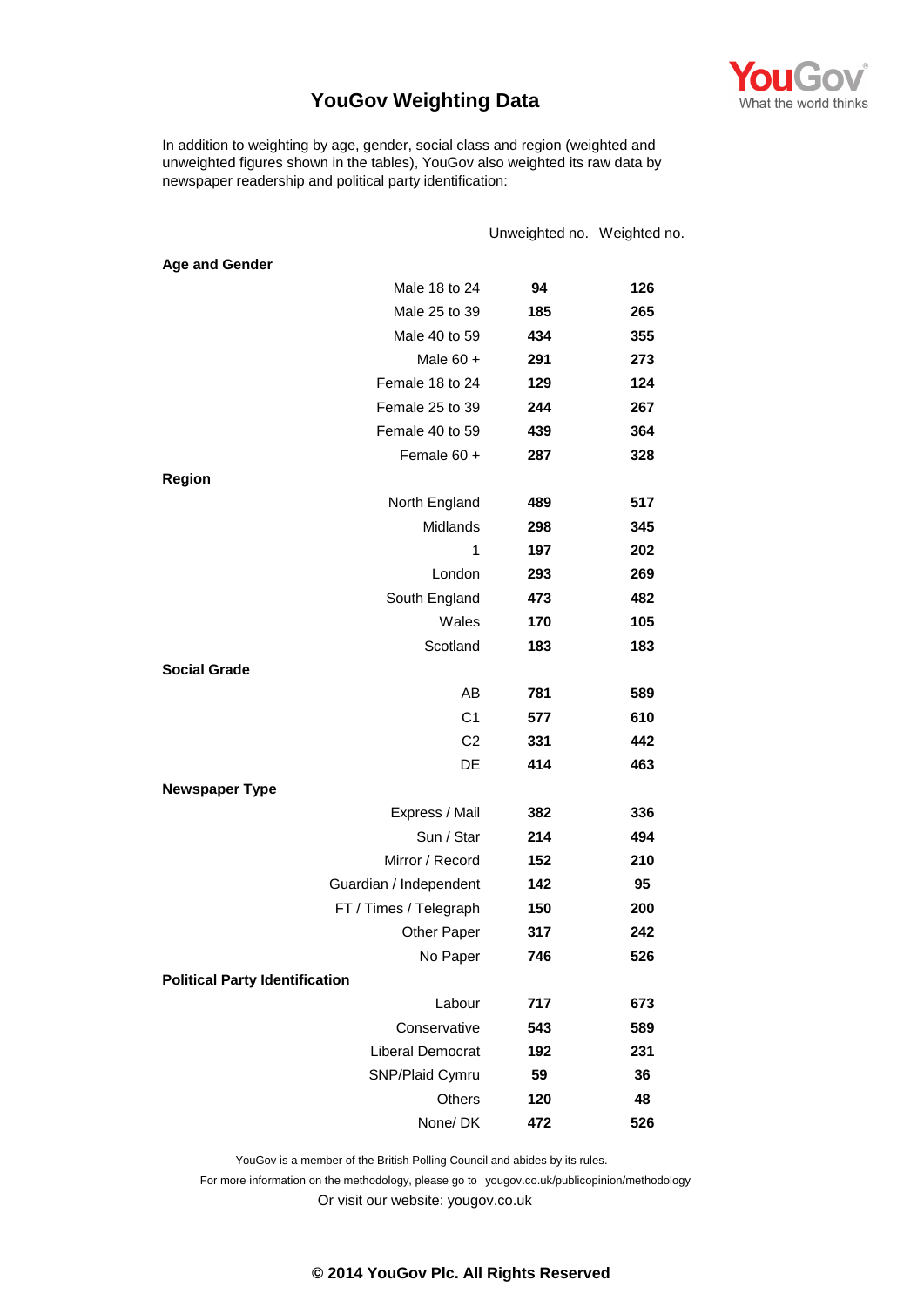|                                                      |                           |                |                |     | <b>Voting intention</b> |                |                | <b>2010 Vote</b> |                |                | Gender |                | Age            |       |                |                | <b>Social Grade</b> |
|------------------------------------------------------|---------------------------|----------------|----------------|-----|-------------------------|----------------|----------------|------------------|----------------|----------------|--------|----------------|----------------|-------|----------------|----------------|---------------------|
|                                                      |                           | Total          | Con            | Lab | Lib<br>Dem              | UKIP           | Con            | Lab              | Lib<br>Dem     | Male           | Female | 18-24          | 25-39          | 40-59 | $60+$          | ABC1           | C <sub>2</sub> DE   |
|                                                      | <b>Weighted Sample</b>    | 2103           | 579            | 610 | 152                     | 172            | 638            | 515              | 417            | 1020           | 1083   | 250            | 532            | 719   | 601            | 1199           | 904                 |
|                                                      | Unweighted Sample         | 2103           | 526            | 642 | 139                     | 194            | 590            | 547              | 430            | 1004           | 1099   | 223            | 429            | 873   | 578            | 358            | 745                 |
|                                                      |                           | $\frac{0}{0}$  | $\%$           | %   | $\frac{0}{0}$           | %              | $\frac{0}{0}$  | %                | %              | $\frac{1}{2}$  | %      | $\%$           | $\frac{0}{0}$  | %     | %              | $\frac{9}{6}$  | %                   |
|                                                      |                           |                |                |     |                         |                |                |                  |                |                |        |                |                |       |                |                |                     |
| How much do trust each of these parties to take the  |                           |                |                |     |                         |                |                |                  |                |                |        |                |                |       |                |                |                     |
| right decisions about taxes, public spending and the |                           |                |                |     |                         |                |                |                  |                |                |        |                |                |       |                |                |                     |
| economy?<br><b>The Conservatives</b>                 |                           |                |                |     |                         |                |                |                  |                |                |        |                |                |       |                |                |                     |
|                                                      | Trust a lot               | 11             | 36             | 1   | 3                       | 6              | 28             | 1                | 3              | 14             | 8      | 9              | 10             | 10    | 13             | 13             | 9                   |
|                                                      | Trust to some extent      | 28             | 53             | 9   | 40                      | 35             | 48             | 12               | 27             | 31             | 26     | 22             | 27             | 27    | 33             | 32             | 23                  |
|                                                      | <b>TOTAL TRUST</b>        | 39             | 89             | 10  | 43                      | 41             | 76             | 13               | 30             | 45             | 34     | 31             | 37             | 37    | 46             | 45             | 32                  |
|                                                      | Do not trust much         | 21             | $\overline{7}$ | 25  | 44                      | 29             | 13             | 24               | 30             | 20             | 22     | 28             | 20             | 20    | 20             | 21             | 20                  |
|                                                      | Do not trust at all       | 33             | $\overline{2}$ | 62  | 9                       | 30             | 7              | 57               | 34             | 32             | 34     | 30             | 31             | 39    | 30             | 28             | 40                  |
|                                                      | <b>TOTAL DO NOT TRUST</b> | 54             | 9              | 87  | 53                      | 59             | 20             | 81               | 64             | 52             | 56     | 58             | 51             | 59    | 50             | 49             | 60                  |
|                                                      | Don't know                | $\overline{7}$ | $\overline{2}$ | 3   | 5                       | $\mathbf{1}$   | 3              | 5                | $\overline{4}$ | 3              | 10     | 11             | 11             | 4     | $\overline{4}$ | 5              | 8                   |
| Labour                                               |                           |                |                |     |                         |                |                |                  |                |                |        |                |                |       |                |                |                     |
|                                                      | Trust a lot               | 7              | 1              | 23  | 1                       | $\mathbf 0$    | 1              | 19               | 5              | 8              | 6      | $\overline{7}$ | $\overline{7}$ | 8     | 7              | 6              | 9                   |
|                                                      | Trust to some extent      | 27             | 9              | 60  | 31                      | $\overline{7}$ | 9              | 50               | 36             | 28             | 26     | 33             | 32             | 26    | 21             | 27             | 27                  |
|                                                      | <b>TOTAL TRUST</b>        | 34             | 10             | 83  | 32                      | $\overline{7}$ | 10             | 69               | 41             | 36             | 32     | 40             | 39             | 34    | 28             | 33             | 36                  |
|                                                      | Do not trust much         | 26             | 30             | 11  | 42                      | 32             | 28             | 17               | 33             | 25             | 27     | 22             | 26             | 25    | 27             | 25             | 27                  |
|                                                      | Do not trust at all       | 33             | 58             | 3   | 22                      | 60             | 58             | 10               | 21             | 36             | 30     | 26             | 23             | 36    | 41             | 36             | 29                  |
|                                                      | <b>TOTAL DO NOT TRUST</b> | 59             | 88             | 14  | 64                      | 92             | 86             | 27               | 54             | 61             | 57     | 48             | 49             | 61    | 68             | 61             | 56                  |
| <b>The Liberal Democrats</b>                         | Don't know                | $\overline{7}$ | $\overline{2}$ | 3   | $\overline{4}$          | $\mathbf{1}$   | $\overline{4}$ | 5                | 6              | 3              | 11     | 11             | 12             | 5     | 4              | 6              | 9                   |
|                                                      | Trust a lot               | 3              | $\overline{2}$ | 1   | 22                      | 1              | 1              | 1                | 8              | 3              | 2      | 5              | 3              | 2     | 1              | 3              | 2                   |
|                                                      | Trust to some extent      | 23             | 33             | 16  | 56                      | 10             | 27             | 15               | 38             | 24             | 22     | 17             | 23             | 24    | 23             | 26             | 18                  |
|                                                      | <b>TOTAL TRUST</b>        | 26             | 35             | 17  | 78                      | 11             | 28             | 16               | 46             | 27             | 24     | 22             | 26             | 26    | 24             | 29             | 20                  |
|                                                      | Do not trust much         | 31             | 39             | 31  | 15                      | 26             | 38             | 28               | 27             | 31             | 31     | 33             | 29             | 32    | 31             | 31             | 31                  |
|                                                      | Do not trust at all       | 35             | 22             | 47  | 3                       | 60             | 28             | 49               | 22             | 38             | 33     | 32             | 30             | 37    | 40             | 33             | 39                  |
|                                                      | <b>TOTAL DO NOT TRUST</b> | 66             | 61             | 78  | 18                      | 86             | 66             | 77               | 49             | 69             | 64     | 65             | 59             | 69    | 71             | 64             | 70                  |
|                                                      | Don't know                | 8              | $\overline{4}$ | 5   | 5                       | 3              | 5              | $\overline{7}$   | 5              | $\overline{4}$ | 12     | 12             | 14             | 6     | 5              | $\overline{7}$ | 10                  |
| <b>UK Independence Party</b>                         |                           |                |                |     |                         |                |                |                  |                |                |        |                |                |       |                |                |                     |
|                                                      | Trust a lot               | $\mathbf{2}$   | $\mathbf 1$    | 1   | 0                       | 20             | 3              | 1                | 1              | 3              | 1      | $\overline{2}$ | $\mathbf{1}$   | 3     | 2              | 2              | 2                   |
|                                                      | Trust to some extent      | 13             | 14             | 9   | 8                       | 57             | 19             | 9                | 13             | 16             | 10     | 13             | 10             | 14    | 15             | 12             | 14                  |
|                                                      | <b>TOTAL TRUST</b>        | 15             | 15             | 10  | 8                       | 77             | 22             | 10               | 14             | 19             | 11     | 15             | 11             | 17    | 17             | 14             | 16                  |
|                                                      | Do not trust much         | 22             | 29             | 17  | 27                      | 11             | 27             | 16               | 20             | 19             | 24     | 20             | 24             | 20    | 22             | 21             | 23                  |
|                                                      | Do not trust at all       | 47             | 41             | 63  | 54                      | 3              | 35             | 63               | 54             | 50             | 45     | 48             | 44             | 50    | 47             | 51             | 42                  |
|                                                      | <b>TOTAL DO NOT TRUST</b> | 69             | 70             | 80  | 81                      | 14             | 62             | 79               | 74             | 69             | 69     | 68             | 68             | 70    | 69             | 72             | 65                  |
|                                                      | Don't know                | 16             | 15             | 11  | 12                      | 8              | 16             | 11               | 12             | 12             | 19     | 17             | 20             | 14    | 13             | 14             | 18                  |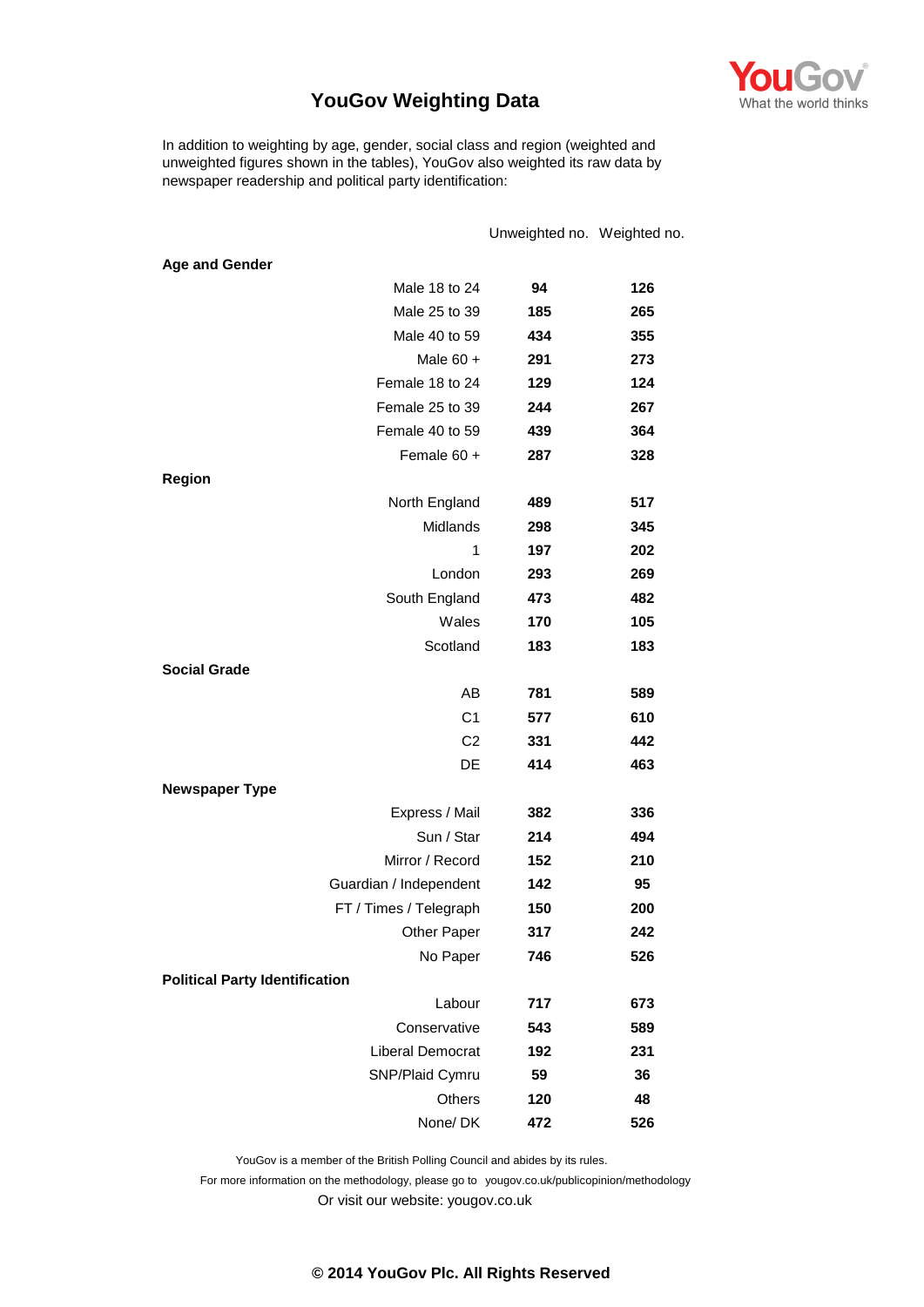|                                                                                                             |                         |                |                  | Region                   |                |                |                         |                      | <b>Household Income</b>    |                  |
|-------------------------------------------------------------------------------------------------------------|-------------------------|----------------|------------------|--------------------------|----------------|----------------|-------------------------|----------------------|----------------------------|------------------|
|                                                                                                             | Total                   | London         | Rest of<br>South | <b>Midlands</b><br>Wales | <b>North</b>   | Scotland       | <b>Under</b><br>£25,000 | £25,000 -<br>£39,999 | £40.000 $\cdot$<br>£59,999 | £Over<br>£60,000 |
| <b>Weighted Sample</b>                                                                                      | 2103                    | 269            | 683              | 450                      | 517            | 183            | 672                     | 436                  | 274                        | 200              |
| <b>Unweighted Sample</b>                                                                                    | 2103                    | 293            | 670              | 468                      | 489            | 183            | 632                     | 428                  | 284                        | 236              |
|                                                                                                             | %                       | $\frac{0}{0}$  | $\frac{0}{0}$    | $\frac{0}{0}$            | %              | %              | $\frac{0}{2}$           | %                    | %                          | $\frac{0}{0}$    |
| How much do trust each of these parties to take the<br>right decisions about taxes, public spending and the |                         |                |                  |                          |                |                |                         |                      |                            |                  |
| economy?                                                                                                    |                         |                |                  |                          |                |                |                         |                      |                            |                  |
| <b>The Conservatives</b>                                                                                    |                         |                |                  |                          |                |                |                         |                      |                            |                  |
| Trust a lot<br>Trust to some extent                                                                         | 11<br>28                | 11<br>30       | 14<br>32         | 10<br>24                 | 10<br>29       | 8<br>18        | 9<br>23                 | 12<br>25             | 15<br>33                   | 16<br>43         |
| <b>TOTAL TRUST</b>                                                                                          | 39                      | 41             | 46               | 34                       | 39             | 26             | 32                      | 37                   | 48                         | 59               |
| Do not trust much                                                                                           | 21                      | 23             | 21               | 21                       | 20             | 19             | 21                      | 24                   | 18                         | 17               |
| Do not trust at all                                                                                         | 33                      | 29             | 27               | 36                       | 36             | 51             | 40                      | 31                   | 28                         | 22               |
| <b>TOTAL DO NOT TRUST</b>                                                                                   | 54                      | 52             | 48               | 57                       | 56             | 70             | 61                      | 55                   | 46                         | 39               |
| Don't know                                                                                                  | $\overline{\mathbf{r}}$ | $\overline{7}$ | $\overline{7}$   | 8                        | 6              | $\overline{4}$ | 6                       | $\overline{7}$       | 5                          | $\overline{2}$   |
| Labour                                                                                                      |                         |                |                  |                          |                |                |                         |                      |                            |                  |
| Trust a lot                                                                                                 | $\overline{\mathbf{r}}$ | 6              | 6                | 8                        | 8              | 9              | 10                      | $\overline{7}$       | 3                          | 8                |
| Trust to some extent                                                                                        | 27                      | 30             | 24               | 24                       | 30             | 31             | 26                      | 29                   | 31                         | 24               |
| <b>TOTAL TRUST</b>                                                                                          | 34                      | 36             | 30               | 32                       | 38             | 40             | 36                      | 36                   | 34                         | 32               |
| Do not trust much                                                                                           | 26                      | 27             | 25               | 27                       | 26             | 21             | 29                      | 23                   | 24                         | 26               |
| Do not trust at all                                                                                         | 33                      | 29             | 38               | 33                       | 29             | 34             | 27                      | 33                   | 37                         | 39               |
| <b>TOTAL DO NOT TRUST</b>                                                                                   | 59                      | 56             | 63               | 60                       | 55             | 55             | 56                      | 56                   | 61                         | 65               |
| Don't know                                                                                                  | $\overline{7}$          | 8              | $\overline{7}$   | 9                        | $\overline{7}$ | $\overline{4}$ | $\overline{7}$          | 8                    | 5                          | 3                |
| <b>The Liberal Democrats</b>                                                                                |                         |                |                  |                          |                |                |                         |                      |                            |                  |
| Trust a lot                                                                                                 | 3                       | 3              | 3                | 3                        | $\overline{2}$ | $\overline{2}$ | 3                       | $\mathbf{1}$         | 3                          | 5                |
| Trust to some extent                                                                                        | 23                      | 28             | 27               | 16                       | 22             | 18             | 22                      | 22                   | 30                         | 24               |
| <b>TOTAL TRUST</b>                                                                                          | 26                      | 31             | 30               | 19                       | 24             | 20             | 25                      | 23                   | 33                         | 29               |
| Do not trust much                                                                                           | 31                      | 31             | 30               | 32                       | 30             | 35             | 29                      | 32                   | 33                         | 33               |
| Do not trust at all                                                                                         | 35                      | 27             | 33               | 38                       | 39             | 40             | 39                      | 36                   | 27                         | 34               |
| <b>TOTAL DO NOT TRUST</b>                                                                                   | 66                      | 58             | 63               | 70                       | 69             | 75             | 68                      | 68                   | 60                         | 67               |
| Don't know                                                                                                  | 8                       | 11             | 8                | 11                       | $\overline{7}$ | 5              | 8                       | 8                    | 6                          | 4                |
| <b>UK Independence Party</b>                                                                                |                         |                |                  |                          |                |                |                         |                      |                            |                  |
| Trust a lot                                                                                                 | 2                       | 3              | 3                | 3                        | 2              | 0              | 2                       | 2                    | 2                          | 3                |
| Trust to some extent                                                                                        | 13                      | 11             | 16               | 12                       | 14             | 6              | 14                      | 13                   | 10                         | 11               |
| <b>TOTAL TRUST</b>                                                                                          | 15                      | 14             | 19               | 15                       | 16             | 6              | 16                      | 15                   | 12                         | 14               |
| Do not trust much                                                                                           | 22                      | 22             | 23               | 22                       | 22             | 17             | 25                      | 21                   | 26                         | 21               |
| Do not trust at all                                                                                         | 47                      | 48             | 43               | 48                       | 48             | 58             | 44                      | 49                   | 49                         | 57               |
| <b>TOTAL DO NOT TRUST</b>                                                                                   | 69                      | 70             | 66               | 70                       | 70             | 75             | 69                      | 70                   | 75                         | 78               |
| Don't know                                                                                                  | 16                      | 16             | 16               | 15                       | 15             | 18             | 15                      | 16                   | 14                         | 8                |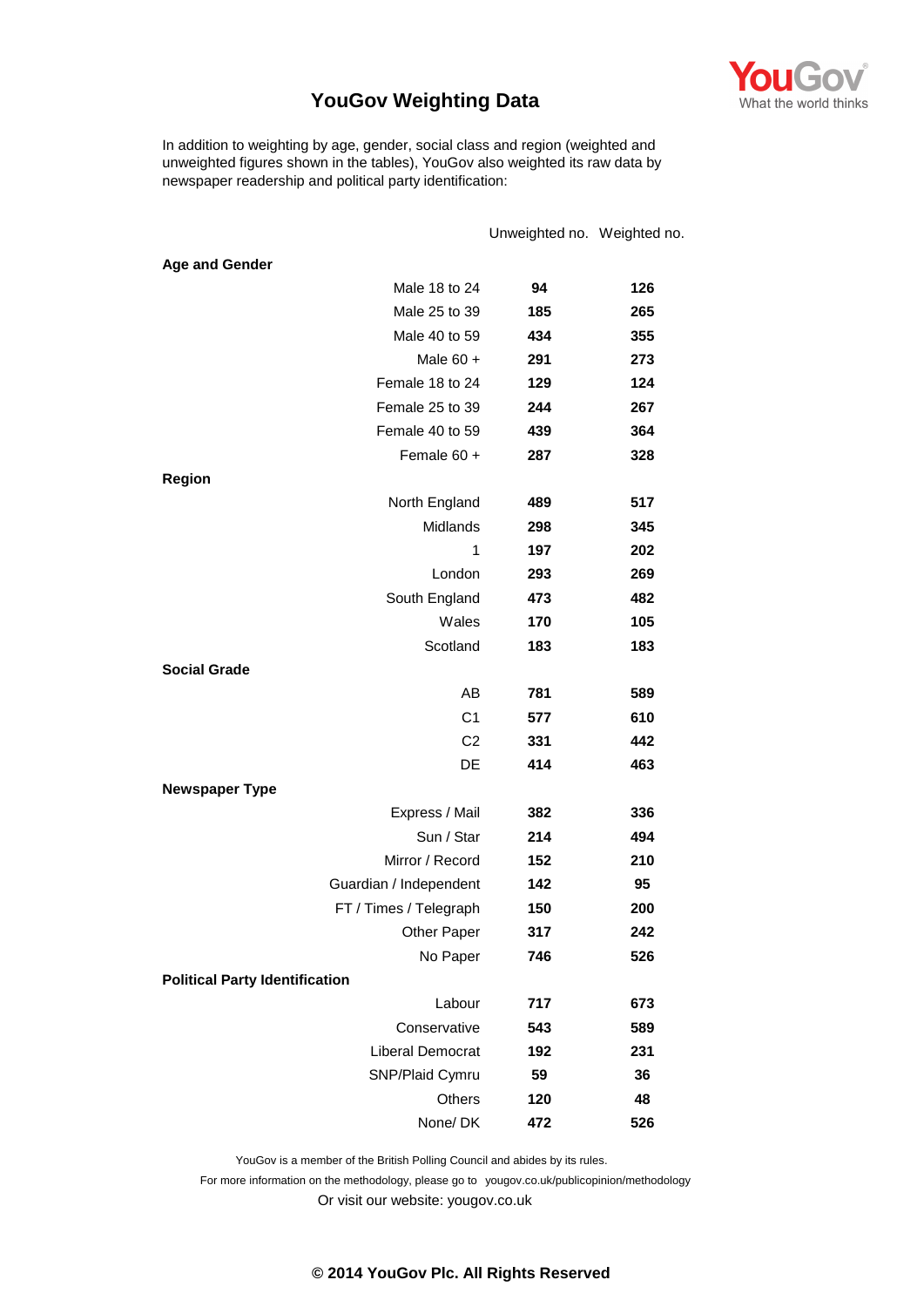|                        |       |         | <b>Voting intention</b> |                  |             |     | <b>2010 Vote</b> |            |        | Gender        |                   | Age | <b>Social Grade</b> |     |      |                               |
|------------------------|-------|---------|-------------------------|------------------|-------------|-----|------------------|------------|--------|---------------|-------------------|-----|---------------------|-----|------|-------------------------------|
|                        | Total | Con     | Lab                     | Lib<br>Dem       | <b>UKIP</b> | Con | Lab              | Lib<br>Dem | Male I | <b>Female</b> | 18-24 25-39 40-59 |     |                     | 60+ | ABC1 | C <sub>2</sub> D <sub>E</sub> |
| <b>Weighted Sample</b> | 2103  |         | 579 610                 | 152 <sub>1</sub> | 172         | 638 | 515              | 417        | 1020   | 1083          | 250               | 532 | 719                 | 601 | 1199 | 904                           |
| Unweighted Sample      | 2103  | 526 642 |                         | 39               | 194         | 590 | 547              | 430        | 004    | 099           | 223               | 429 | 873                 | 578 | 358  | 745                           |
|                        | %     | %       | %                       | %                | %           | %   | $\%$             | %          | $\%$   | %             | %                 | %   | %                   | %   | %    | %                             |

**Following the Budget, people who have built up pension savings will no longer be required ever to buy an annuity – that is convert their "pension pot" into a regular income. People will be allowed to draw on any or all of it as they choose. Like annuities, these payments would be subject to income tax.**

**Suppose you were now reaching retirement age, had pension savings and facing the decision on whether to convert any or all of your 'pension pot' into an annuity, which of these do you think you would do?**

Use most or all of the money to buy an annuity, in order to have a quaranteed income Use some of the money to buy an annuity, but keep much of the money back to spend in other ways

Not buy an annuity at all and keep control of the whole of my

**Would you take a significant part of your 'pension pot' as a lump sum to spend in the near future – for example, to spend on the 'holiday of a lifetime' or make a major purchase – or would you just draw on your pension pot as and when you need it?**

*[Only asked to respondents who will use some or all of the money to buy an annuity; n=1110]*

> Lump sum to spend in the near future Keep money for income or when I need it

**The Budget also increased the amount that each of us can save in a tax-free ISA to £15,000 a year. Do you think you will take advantage of this to increase your ISA savings?**

Yes, by saving more Yes, by switching other savings into ISAs but not by saving

| n annuity,                                          |                            |                            |               |              |               |                            |                            |               |                            |               |               |                |               |               |               |               |
|-----------------------------------------------------|----------------------------|----------------------------|---------------|--------------|---------------|----------------------------|----------------------------|---------------|----------------------------|---------------|---------------|----------------|---------------|---------------|---------------|---------------|
| y, in order to<br>teed income                       | 16                         | 18                         | 18            | 20           | 15            | 19                         | 18                         | 19            | 19                         | 13            | 12            | 17             | 15            | 19            | 19            | 12            |
| eep much of<br>n other ways                         | 22                         | 30                         | 20            | 24           | 26            | 28                         | 20                         | 21            | 23                         | 21            | 23            | 22             | 22            | 22            | 24            | 19            |
| whole of my<br>'pension pot'                        | 31                         | 32                         | 31            | 26           | 35            | 31                         | 30                         | 32            | 33                         | 29            | 18            | 21             | 33            | 42            | 31            | 31            |
| Don't know                                          | 31                         | 20                         | 31            | 30           | 23            | 23                         | 32                         | 28            | 26                         | 36            | 47            | 40             | 31            | 17            | 25            | 39            |
| sion pot'<br>or example,<br>e a major<br>ension pot |                            |                            |               |              |               |                            |                            |               |                            |               |               |                |               |               |               |               |
| r all of the                                        |                            |                            |               |              |               |                            |                            |               |                            |               |               |                |               |               |               |               |
| e near future<br>hen I need it<br>Not sure          | 20<br>73<br>$\overline{7}$ | 20<br>75<br>$\overline{4}$ | 21<br>70<br>9 | 6<br>86<br>9 | 20<br>77<br>4 | 22<br>73<br>$\overline{4}$ | 19<br>73<br>$\overline{7}$ | 14<br>78<br>8 | 18<br>75<br>$\overline{7}$ | 22<br>70<br>8 | 22<br>74<br>4 | 19<br>70<br>11 | 22<br>70<br>8 | 17<br>77<br>6 | 21<br>73<br>6 | 18<br>72<br>9 |
| ach of us                                           |                            |                            |               |              |               |                            |                            |               |                            |               |               |                |               |               |               |               |
| o increase                                          |                            |                            |               |              |               |                            |                            |               |                            |               |               |                |               |               |               |               |
| saving more                                         | 17                         | 27                         | 11            | 18           | 17            | 26                         | 12                         | 18            | 20                         | 15            | 26            | 21             | 14            | 14            | 22            | 11            |
| ot by saving<br>more overall                        | 17                         | 23                         | 15            | 17           | 19            | 21                         | 17                         | 18            | 18                         | 17            | 15            | 13             | 12            | 29            | 20            | 14            |
| No                                                  | 46                         | 33                         | 57            | 38           | 51            | 38                         | 54                         | 47            | 46                         | 46            | 27            | 47             | 54            | 42            | 42            | 50            |

Not sure **19** 16 17 26 13 16 17 17 16 23 31 19 19 15 16 25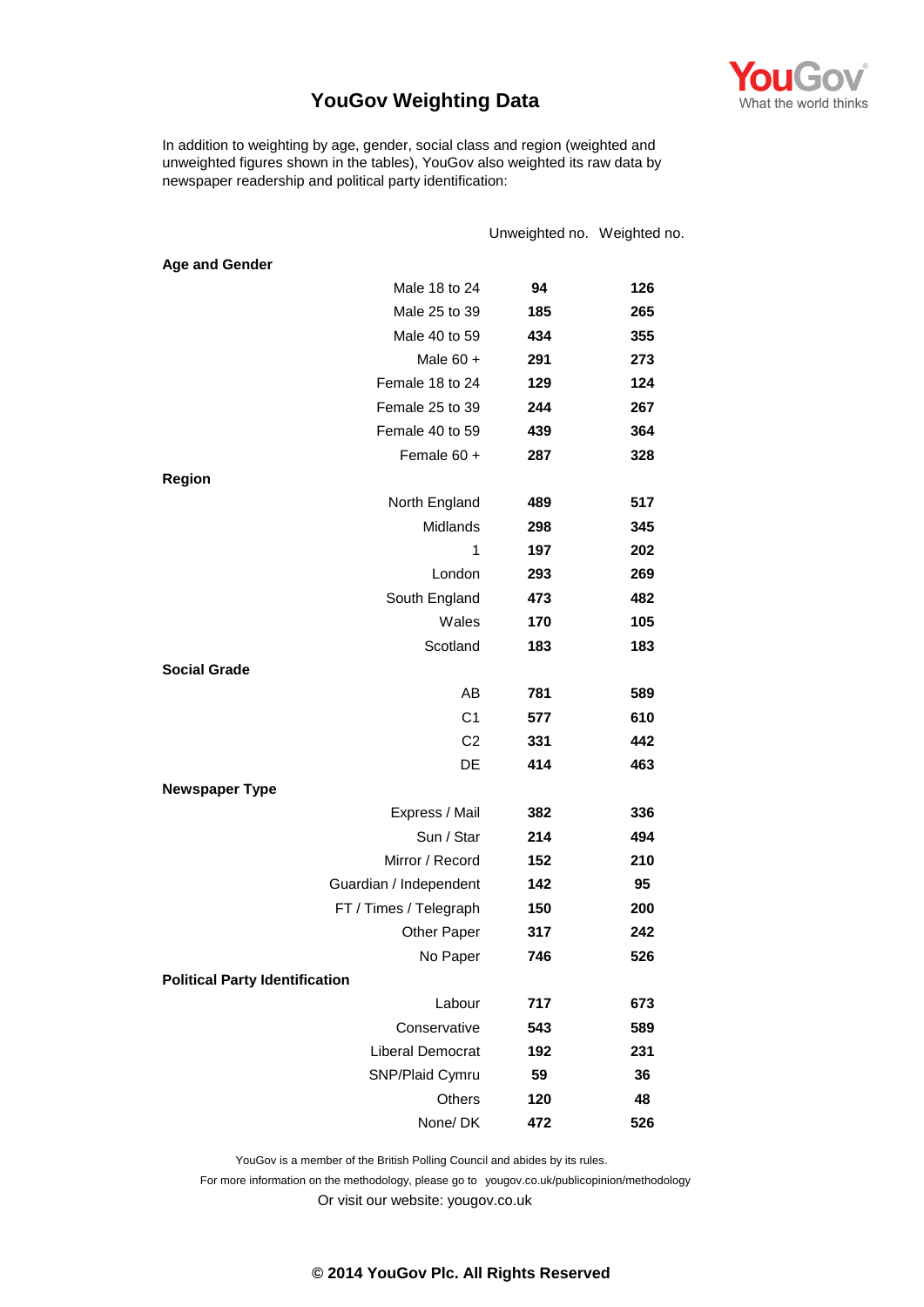|                        |       |        |                         | Region              |              |          | <b>Household Income</b> |                      |                      |                  |  |  |  |  |
|------------------------|-------|--------|-------------------------|---------------------|--------------|----------|-------------------------|----------------------|----------------------|------------------|--|--|--|--|
|                        | Total | London | <b>Rest of</b><br>South | Midlands /<br>Wales | <b>North</b> | Scotland | Under<br>£25.000        | £25.000 -<br>£39.999 | £40.000 -<br>£59.999 | £Over<br>£60,000 |  |  |  |  |
| <b>Weighted Sample</b> | 2103  | 269    | 683                     | 450                 | 517          | 183      | 672                     | 436                  | 274                  | 200              |  |  |  |  |
| Unweighted Sample      | 2103  | 293    | 670                     | 468                 | 489          | 183      | 632                     | 428                  | 284                  | 236              |  |  |  |  |
|                        | %     | %      | %                       | %                   | %            | %        | %                       | %                    | %                    | %                |  |  |  |  |

**Following the Budget, people who have built up pension savings will no longer be required ever to buy an annuity – that is convert their "pension pot" into a regular income. People will be allowed to draw on any or all of it as they choose. Like annuities, these payments would be subject to income tax.**

**Suppose you were now reaching retirement age, had pension savings and facing the decision on whether to convert any or all of your 'pension pot' into an annuity, which of these do you think you would do?**

Use most or all of the money to buy an annuity, in order to have a guaranteed income **<sup>16</sup>** Use some of the money to buy an annuity, but keep much of the money back to spend in other ways **<sup>22</sup>** Not buy an annuity at all and keep control of the whole of my 'pension pot' **<sup>31</sup>** Don't know

**Would you take a significant part of your 'pension pot' as a lump sum to spend in the near future – for example, to spend on the 'holiday of a lifetime' or make a major purchase – or would you just draw on your pension pot as and when you need it?**

*[Only asked to respondents who will use some or all of the money to buy an annuity; n=1110]*

> Lump sum to spend in the near future Keep money for income or when I need it **73** Not sure

> > Not sure **19**

**The Budget also increased the amount that each of us can save in a tax-free ISA to £15,000 a year. Do you think you will take advantage of this to increase your ISA savings?**

Yes, by saving more **17** Yes, by switching other savings into ISAs but not by saving not by saving<br>more overall **17** No **46**

|  |  |  |  | 16 20 14 17 16 14 15 14 20 18<br>22 21 24 20 21 23 19 27 24 28<br>31 33 32 29 31 29 33 29 31 32<br>31 26 29 34 32 34 33 31 26 22 |  |
|--|--|--|--|----------------------------------------------------------------------------------------------------------------------------------|--|
|  |  |  |  |                                                                                                                                  |  |
|  |  |  |  |                                                                                                                                  |  |
|  |  |  |  |                                                                                                                                  |  |
|  |  |  |  |                                                                                                                                  |  |
|  |  |  |  |                                                                                                                                  |  |
|  |  |  |  |                                                                                                                                  |  |
|  |  |  |  |                                                                                                                                  |  |
|  |  |  |  | 20   19 19 18 25 18   20 20 24 23                                                                                                |  |

73 74 75 66 79 75 74 69 67 8 7 7 9 3 4 6 7 11

 19 18 14 12 13 15 22 34 19 16 17 14 13 17 20 20 44 48 49 54 54 54 44 35 18 19 21 21 20 14 14 11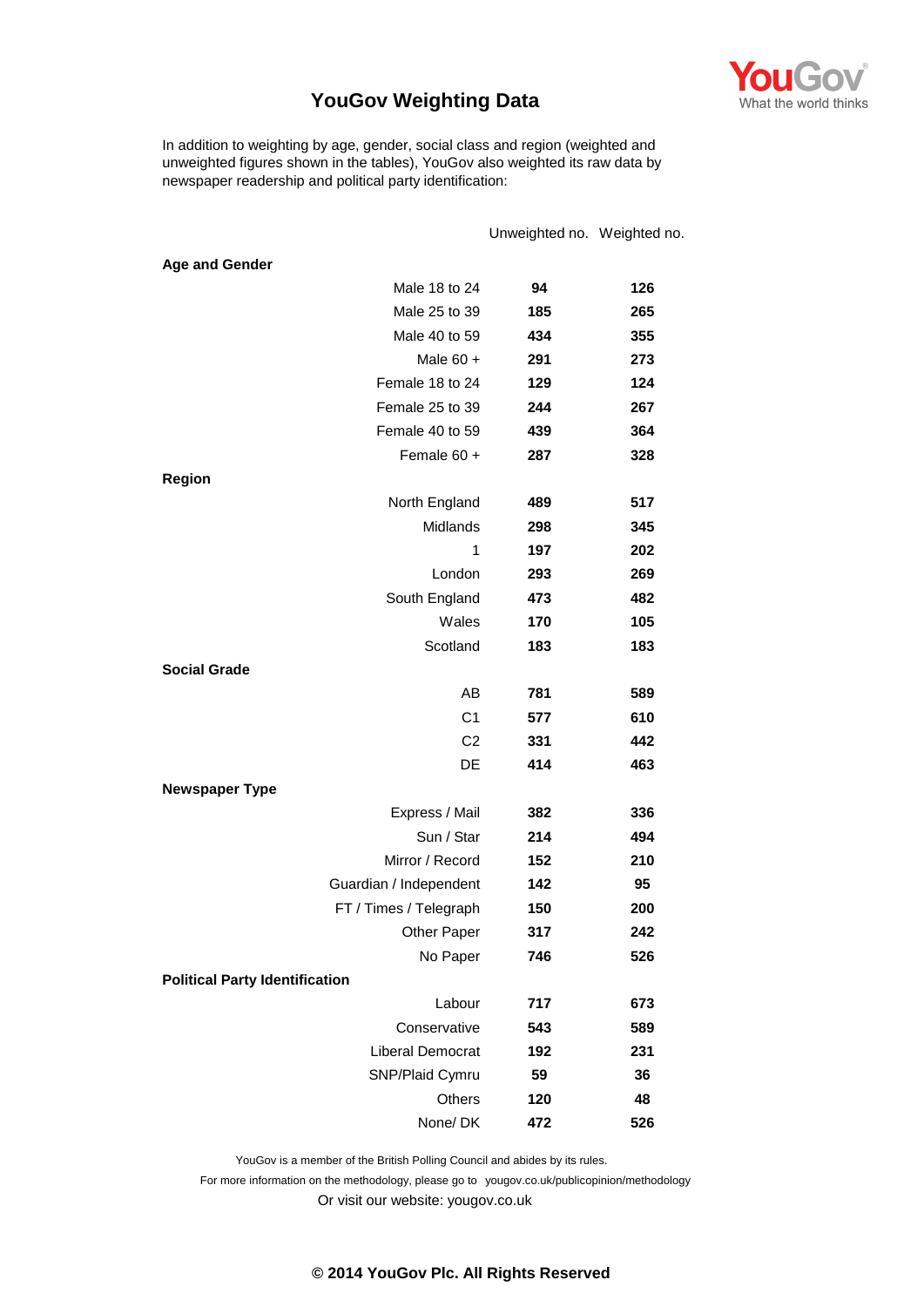|                                                                                                                                                                                                                                                                                                             |       | <b>Voting intention</b> |                      |         | <b>2010 Vote</b> |              |                    | Gender                        |                      | Age                  |             |          | <b>Social Grade</b> |                |                    |         |                   |
|-------------------------------------------------------------------------------------------------------------------------------------------------------------------------------------------------------------------------------------------------------------------------------------------------------------|-------|-------------------------|----------------------|---------|------------------|--------------|--------------------|-------------------------------|----------------------|----------------------|-------------|----------|---------------------|----------------|--------------------|---------|-------------------|
|                                                                                                                                                                                                                                                                                                             |       | <b>Total</b>            | Con Lab              |         | Lib<br>Dem       | <b>UKIP</b>  | Con                | Lab                           | Lib<br>Dem           |                      | Male Female | $18-24$  | 25-39               | 40-59          | 60+                | ABC1    | C <sub>2</sub> DE |
| <b>Weighted Sample</b>                                                                                                                                                                                                                                                                                      |       | 2103                    | 579 610              |         | 152              | 172          | 638                | 515                           | 417                  | 1020                 | 1083        | 250      | 532                 | 719            | 601                | 1199    | 904               |
| Unweighted Sample                                                                                                                                                                                                                                                                                           |       | 2103                    | 526                  | 642     | 139              | 194          | 590                | 547                           | 430                  | 1004                 | 1099        | 223      | 429                 | 873            | 578                | 1358    | 745               |
|                                                                                                                                                                                                                                                                                                             |       | $\%$                    | $\%$                 | %       | $\%$             | $\%$         | $\frac{0}{0}$      | %                             | %                    | %                    | %           | %        | %                   | %              | %                  | $\%$    | $\%$              |
| Turning to another issue; earlier this month protesters<br>overthrew the Ukrainian government and Russian<br>troops entered the Crimea region of Ukraine. At the<br>weekend people in the Crimea voted in a referendum on<br>whether to become part of Russia. How closely are you<br>following this story? |       |                         |                      |         |                  |              |                    |                               |                      |                      |             |          |                     |                |                    |         |                   |
| Very closely                                                                                                                                                                                                                                                                                                |       | 14                      | 16                   | 15      | 17               | 21           | 15                 | 14                            | 17                   | 20                   | 8           | 18       | 11                  | 11             | 19                 | 16      | 12                |
| Fairly closely                                                                                                                                                                                                                                                                                              |       | 41                      | 49                   | 46      | 39               | 34           | 45                 | 44                            | 41                   | 47                   | 35          | 30       | 34                  | 45             | 46                 | 46      | 34                |
| Not very closely                                                                                                                                                                                                                                                                                            |       | 21                      | 21                   | 18      | 20<br>20         | 24<br>20     | 24                 | 19                            | 21                   | 19                   | 23<br>25    | 21       | 24<br>23            | 21<br>20       | 19                 | 21      | 21                |
| I am aware of the stories but am not following them<br>I am not aware of the stories                                                                                                                                                                                                                        |       | 19<br>5                 | 14<br>$\overline{1}$ | 17<br>4 | $\overline{4}$   | $\mathbf{1}$ | 15<br>$\mathbf{1}$ | 19<br>$\overline{\mathbf{4}}$ | 19<br>$\overline{2}$ | 12<br>$\overline{2}$ | 8           | 14<br>17 | 8                   | $\overline{2}$ | 15<br>$\mathbf{1}$ | 14<br>3 | 25<br>8           |
|                                                                                                                                                                                                                                                                                                             |       |                         |                      |         |                  |              |                    |                               |                      |                      |             |          |                     |                |                    |         |                   |
| Generally speaking, who do you have more sympathy<br>for?                                                                                                                                                                                                                                                   |       |                         |                      |         |                  |              |                    |                               |                      |                      |             |          |                     |                |                    |         |                   |
| The Russian government                                                                                                                                                                                                                                                                                      |       | 5                       | 6                    | 4       | 3                | 13           | 5                  | 6                             | 4                    | 8                    | 3           | 4        | 3                   | 5              | 8                  | 5       | 5                 |
| The new Ukrainian government                                                                                                                                                                                                                                                                                |       | 44                      | 50                   | 49      | 42               | 42           | 50                 | 45                            | 48                   | 50                   | 39          | 41       | 43                  | 42             | 50                 | 48      | 39                |
| Neither                                                                                                                                                                                                                                                                                                     |       | 34                      | 32                   | 32      | 39               | 32           | 31                 | 33                            | 33                   | 34                   | 33          | 29       | 32                  | 40             | 30                 | 32      | 36                |
| Don't know                                                                                                                                                                                                                                                                                                  |       | 17                      | 12                   | 15      | 15               | 13           | 14                 | 15                            | 15                   | 9                    | 25          | 26       | 23                  | 13             | 13                 | 15      | 20                |
| Do you think the situation between Ukraine and Russia<br>is something that should concern Britain and other<br>Western countries, or is it purely a matter between<br><b>Russia and Ukraine?</b>                                                                                                            |       |                         |                      |         |                  |              |                    |                               |                      |                      |             |          |                     |                |                    |         |                   |
| Something that should concern Britain and the West                                                                                                                                                                                                                                                          |       | 44                      | 52                   | 47      | 55               | 29           | 49                 | 45                            | 49                   | 50                   | 38          | 41       | 44                  | 43             | 46                 | 50      | 36                |
| Something that should be a matter between Russia and<br>Ukraine                                                                                                                                                                                                                                             |       | 43                      | 39                   | 42      | 33               | 65           | 41                 | 44                            | 39                   | 42                   | 43          | 31       | 38                  | 47             | 46                 | 39      | 47                |
| Don't know                                                                                                                                                                                                                                                                                                  |       | 14                      | 9                    | 11      | 12               | 6            | 9                  | 12                            | 12                   | 8                    | 19          | 28       | 18                  | 10             | 8                  | 11      | 17                |
|                                                                                                                                                                                                                                                                                                             | Mar   | <b>Mar 20-</b>          |                      |         |                  |              |                    |                               |                      |                      |             |          |                     |                |                    |         |                   |
| Thinking more specifically about the type of actions<br>Western countries could take in response to the<br>situation in Ukraine, would you support or oppose<br>Britain and other Western countries taking the following<br>actions?<br>Imposing trade sanctions on Russia                                  | $5-6$ | 21                      |                      |         |                  |              |                    |                               |                      |                      |             |          |                     |                |                    |         |                   |
| Support                                                                                                                                                                                                                                                                                                     | 48    | 43                      | 47                   | 50      | 43               | 39           | 45                 | 44                            | 49                   | 48                   | 38          | 45       | 36                  | 45             | 45                 | 47      | 36                |
| Oppose                                                                                                                                                                                                                                                                                                      | 26    | 26                      | 26                   | 24      | 29               | 38           | 26                 | 28                            | 25                   | 32                   | 21          | 21       | 24                  | 27             | 30                 | 26      | 27                |
| Don't know                                                                                                                                                                                                                                                                                                  | 27    | 31                      | 27                   | 26      | 28               | 24           | 29                 | 28                            | 26                   | 21                   | 41          | 34       | 39                  | 28             | 26                 | 26      | 37                |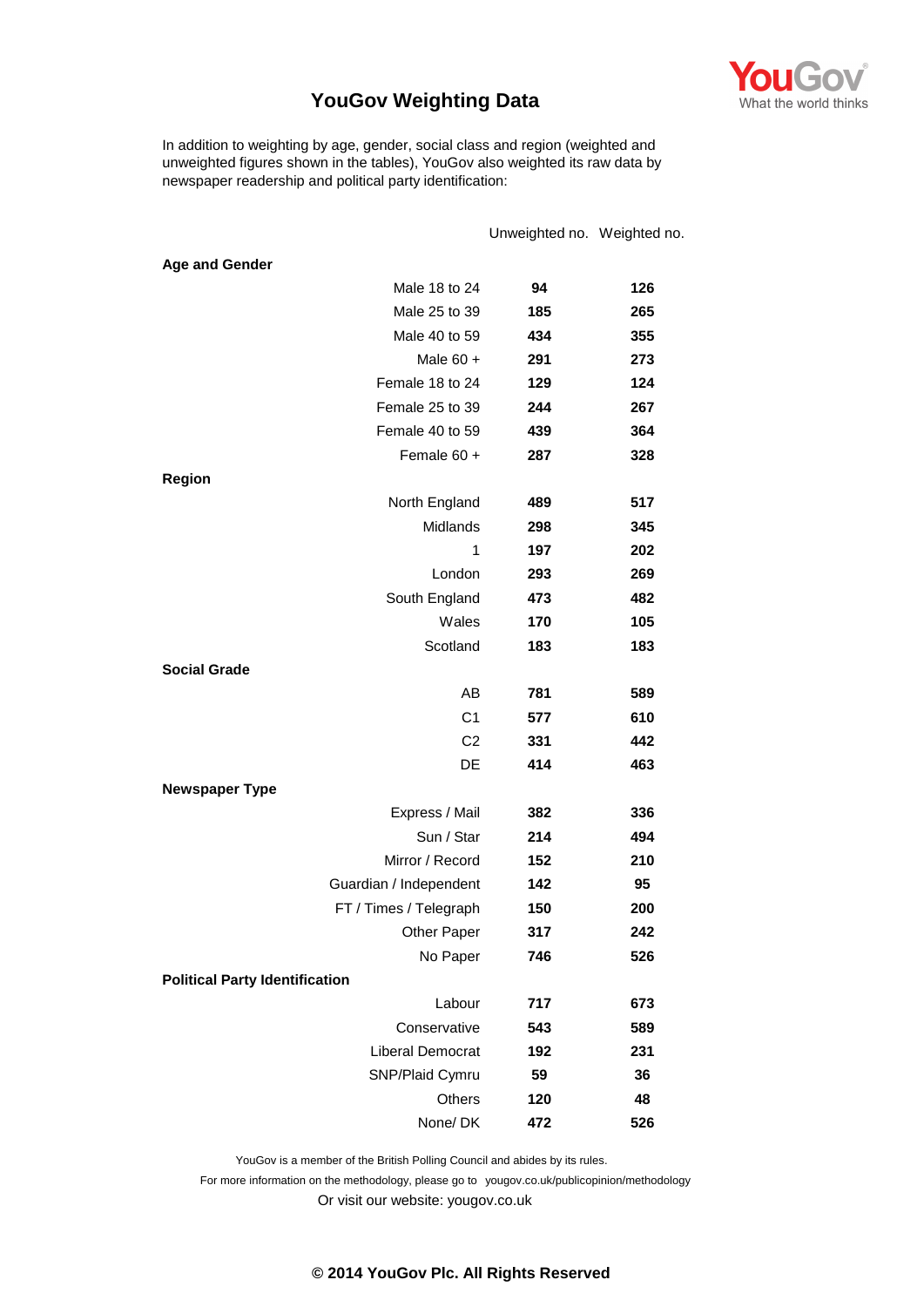|                                                                                                                                                                                                                                                                                                             |                                      |               |                  | Region            |               |               | <b>Household Income</b> |                      |                      |                         |  |
|-------------------------------------------------------------------------------------------------------------------------------------------------------------------------------------------------------------------------------------------------------------------------------------------------------------|--------------------------------------|---------------|------------------|-------------------|---------------|---------------|-------------------------|----------------------|----------------------|-------------------------|--|
|                                                                                                                                                                                                                                                                                                             | Total                                | London        | Rest of<br>South | Midlands<br>Wales | North         | Scotland      | <b>Under</b><br>£25,000 | £25,000 -<br>£39,999 | £40,000 -<br>£59,999 | <b>£Over</b><br>£60,000 |  |
| <b>Weighted Sample</b>                                                                                                                                                                                                                                                                                      | 2103                                 | 269           | 683              | 450               | 517           | 183           | 672                     | 436                  | 274                  | 200                     |  |
| Unweighted Sample                                                                                                                                                                                                                                                                                           | 2103                                 | 293           | 670              | 468               | 489           | 183           | 632                     | 428                  | 284                  | 236                     |  |
|                                                                                                                                                                                                                                                                                                             | %                                    | $\frac{0}{0}$ | $\frac{0}{0}$    | $\frac{0}{0}$     | $\frac{0}{0}$ | $\frac{0}{0}$ | $\frac{0}{0}$           | $\frac{0}{0}$        | $\frac{0}{0}$        | $\frac{0}{0}$           |  |
| Turning to another issue; earlier this month protesters<br>overthrew the Ukrainian government and Russian<br>troops entered the Crimea region of Ukraine. At the<br>weekend people in the Crimea voted in a referendum on<br>whether to become part of Russia. How closely are you<br>following this story? |                                      |               |                  |                   |               |               |                         |                      |                      |                         |  |
| Very closely                                                                                                                                                                                                                                                                                                | 14                                   | 14            | 16               | 12                | 13            | 14            | 14                      | 15                   | 15                   | 16                      |  |
| Fairly closely                                                                                                                                                                                                                                                                                              | 41                                   | 42            | 39               | 43                | 37            | 48            | 40                      | 40                   | 49                   | 51                      |  |
| Not very closely                                                                                                                                                                                                                                                                                            | 21                                   | 19            | 25               | 18                | 21            | 18            | 20                      | 24                   | 20                   | 19                      |  |
| I am aware of the stories but am not following them                                                                                                                                                                                                                                                         | 19                                   | 20            | 15               | 21                | 23            | 15            | 22                      | 17                   | 14                   | 11                      |  |
| I am not aware of the stories                                                                                                                                                                                                                                                                               | 5                                    | 5             | 5                | 5                 | 5             | 5             | 5                       | 4                    | $\overline{2}$       | 3                       |  |
| Generally speaking, who do you have more sympathy<br>for?                                                                                                                                                                                                                                                   |                                      |               |                  |                   |               |               |                         |                      |                      |                         |  |
| The Russian government                                                                                                                                                                                                                                                                                      | 5                                    | 5             | $\overline{7}$   | 5                 | 3             | 5             | 6                       | 5                    | 4                    | $\overline{7}$          |  |
| The new Ukrainian government                                                                                                                                                                                                                                                                                | 44                                   | 47            | 43               | 45                | 43            | 42            | 44                      | 41                   | 52                   | 49                      |  |
| Neither                                                                                                                                                                                                                                                                                                     | 34                                   | 34            | 34               | 33                | 34            | 34            | 34                      | 39                   | 27                   | 35                      |  |
| Don't know                                                                                                                                                                                                                                                                                                  | 17                                   | 13            | 15               | 18                | 20            | 19            | 16                      | 15                   | 17                   | 9                       |  |
| Do you think the situation between Ukraine and Russia<br>is something that should concern Britain and other<br>Western countries, or is it purely a matter between<br><b>Russia and Ukraine?</b>                                                                                                            |                                      |               |                  |                   |               |               |                         |                      |                      |                         |  |
| Something that should concern Britain and the West                                                                                                                                                                                                                                                          | 44                                   | 51            | 43               | 44                | 42            | 44            | 38                      | 44                   | 51                   | 58                      |  |
| Something that should be a matter between Russia and<br>Ukraine                                                                                                                                                                                                                                             | 43                                   | 38            | 43               | 43                | 44            | 42            | 48                      | 42                   | 40                   | 34                      |  |
| Don't know                                                                                                                                                                                                                                                                                                  | 14                                   | 11            | 15               | 13                | 14            | 14            | 15                      | 13                   | 9                    | 8                       |  |
| Thinking more specifically about the type of actions<br>Western countries could take in response to the<br>situation in Ukraine, would you support or oppose<br>Britain and other Western countries taking the following<br>actions?<br>Imposing trade sanctions on Russia                                  | Mar<br><b>Mar 20-</b><br>$5-6$<br>21 |               |                  |                   |               |               |                         |                      |                      |                         |  |
| Support                                                                                                                                                                                                                                                                                                     | 48<br>43                             | 45            | 42               | 42                | 41            | 48            | 40                      | 42                   | 52                   | 46                      |  |
| Oppose                                                                                                                                                                                                                                                                                                      | 26<br>26                             | 29            | 27               | 26                | 25            | 25            | 28                      | 27                   | 24                   | 35                      |  |
| Don't know                                                                                                                                                                                                                                                                                                  | 27<br>31                             | 26            | 31               | 32                | 34            | 27            | 32                      | 31                   | 24                   | 20                      |  |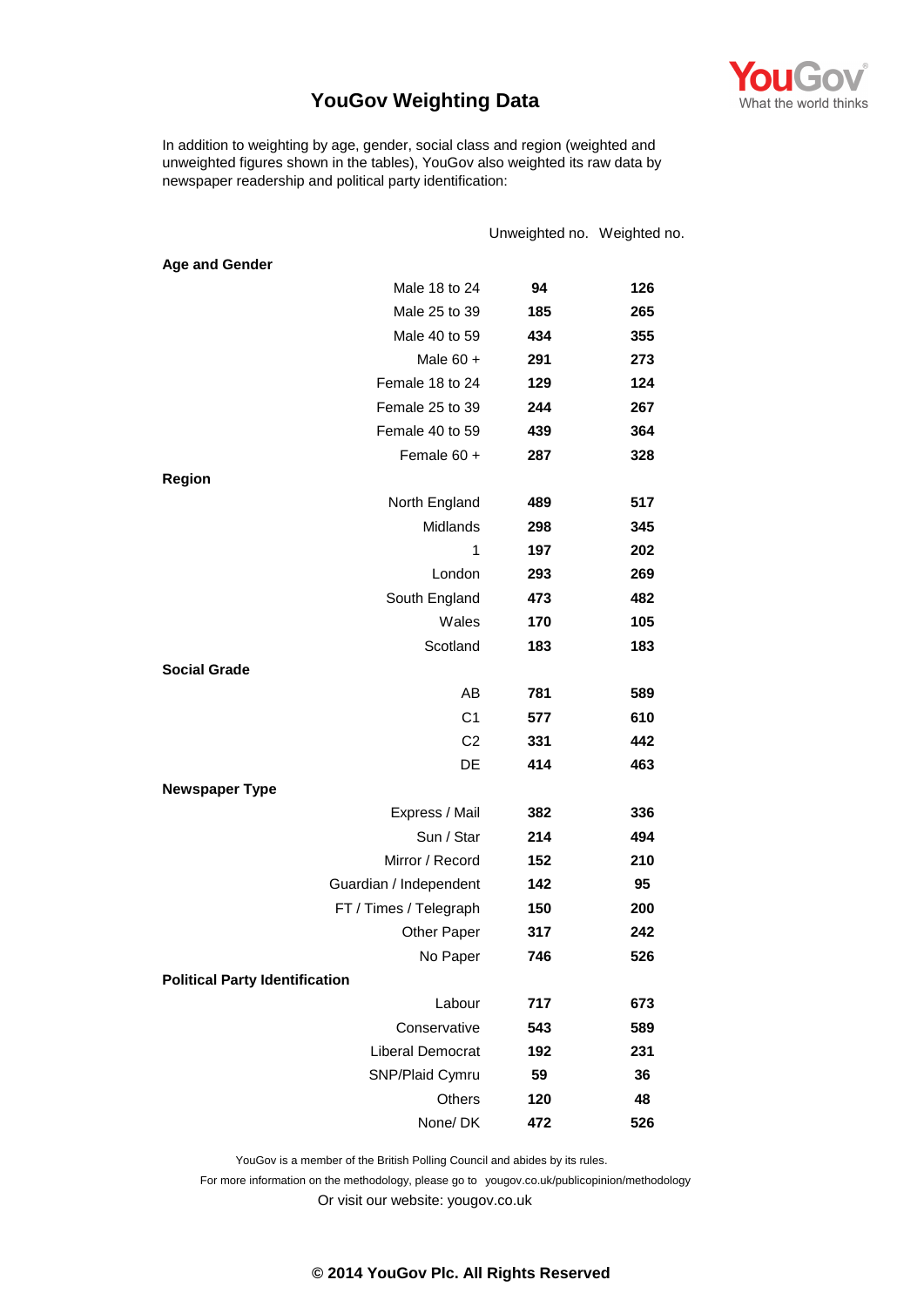|                                                                                                                                                                                 | <b>Voting intention</b> |               |               | <b>2010 Vote</b> |             |               | Gender |               | Age           |                       |     | <b>Social Grade</b> |     |       |                |                   |
|---------------------------------------------------------------------------------------------------------------------------------------------------------------------------------|-------------------------|---------------|---------------|------------------|-------------|---------------|--------|---------------|---------------|-----------------------|-----|---------------------|-----|-------|----------------|-------------------|
|                                                                                                                                                                                 | Total                   | Con           | Lab           | Lib<br>Dem       | <b>UKIP</b> | Con           | Lab    | Lib<br>Dem    |               | Male   Female   18-24 |     | 25-39 40-59         |     | $60+$ | ABC1           | C <sub>2</sub> DE |
| <b>Weighted Sample</b> 2103                                                                                                                                                     |                         | 579           | 610           | 152              | 172         | 638           | 515    | 417           | 1020          | 1083                  | 250 | 532                 | 719 | 601   | 1199           | 904               |
| Unweighted Sample                                                                                                                                                               | 2103                    | 526           | 642           | 139              | 194         | 590           | 547    | 430           | 1004          | 1099                  | 223 | 429                 | 873 | 578   | 1358           | 745               |
|                                                                                                                                                                                 | %                       | $\frac{0}{0}$ | $\frac{0}{0}$ | %                | %           | $\frac{0}{0}$ | %      | $\frac{0}{0}$ | $\frac{0}{2}$ | %                     | %   | %                   | %   | $\%$  | %              | %                 |
| Freezing the assets held in the West of all Russians<br>linked to the Russian government, until there is a<br>settlement of the issue of the Crimea'                            |                         |               |               |                  |             |               |        |               |               |                       |     |                     |     |       |                |                   |
| Support                                                                                                                                                                         | 42                      | 47            | 47            | 46               | 37          | 45            | 41     | 47            | 49            | 35                    | 46  | 33                  | 44  | 44    | 45             | 36                |
| Oppose                                                                                                                                                                          | 26                      | 25            | 26            | 25               | 38          | 26            | 27     | 25            | 29            | 23                    | 18  | 26                  | 26  | 29    | 26             | 26                |
| Don't know                                                                                                                                                                      | 33                      | 28            | 27            | 29               | 25          | 29            | 32     | 27            | 22            | 42                    | 35  | 42                  | 30  | 27    | 29             | 38                |
| Confiscating permanently the assets held in the West of<br>all Russians linked to the Russian government                                                                        |                         |               |               |                  |             |               |        |               |               |                       |     |                     |     |       |                |                   |
| Support                                                                                                                                                                         | 23                      | 25            | 27            | 22               | 30          | 26            | 23     | 24            | 29            | 18                    | 27  | 20                  | 24  | 23    | 26             | 19                |
| Oppose                                                                                                                                                                          | 41                      | 43            | 42            | 46               | 45          | 39            | 42     | 46            | 47            | 35                    | 31  | 39                  | 43  | 45    | 43             | 38                |
| Don't know                                                                                                                                                                      | 36                      | 32            | 30            | 33               | 25          | 35            | 34     | 30            | 24            | 47                    | 42  | 41                  | 33  | 32    | 30             | 42                |
| Expelling children of Russians linked to the Russian<br>government from Western schools and universities                                                                        |                         |               |               |                  |             |               |        |               |               |                       |     |                     |     |       |                |                   |
| Support                                                                                                                                                                         | 13                      | 14            | 15            | 11               | 17          | 15            | 12     | 13            | 17            | 8                     | 9   | 12                  | 16  | 11    | 13             | 12                |
| Oppose                                                                                                                                                                          | 60                      | 61            | 60            | 67               | 60          | 60            | 60     | 66            | 63            | 56                    | 55  | 57                  | 58  | 66    | 63             | 55                |
| Don't know                                                                                                                                                                      | 28                      | 25            | 25            | 23               | 24          | 26            | 28     | 22            | 19            | 36                    | 36  | 31                  | 26  | 23    | 23             | 33                |
| Taking the same actions against Russia's President<br>Putin, freezing his assets and limiting his foreign travel,<br>that we have taken against Zimbabwe's President<br>Mugabe' |                         |               |               |                  |             |               |        |               |               |                       |     |                     |     |       |                |                   |
| Support                                                                                                                                                                         | 44                      | 45            | 50            | 48               | 44          | 45            | 45     | 50            | 50            | 37                    | 48  | 38                  | 45  | 45    | 47             | 40                |
| Oppose                                                                                                                                                                          | 25                      | 27            | 25            | 24               | 32          | 26            | 28     | 22            | 29            | 21                    | 17  | 23                  | 26  | 28    | 26             | 23                |
| Don't know                                                                                                                                                                      | 31                      | 28            | 25            | 28               | 24          | 29            | 27     | 28            | 21            | 41                    | 35  | 39                  | 28  | 27    | 27             | 37                |
| Taking military action to defend the Ukraine if Russia<br>attempts to seize any more of the Ukraine                                                                             |                         |               |               |                  |             |               |        |               |               |                       |     |                     |     |       |                |                   |
| Support                                                                                                                                                                         | 16                      | 18            | 23            | 21               | 10          | 16            | 16     | 19            | 20            | 13                    | 29  | 22                  | 15  | 8     | 17             | 16                |
| Oppose                                                                                                                                                                          | 56                      | 63            | 56            | 56               | 68          | 63            | 59     | 56            | 61            | 52                    | 31  | 43                  | 61  | 72    | 59             | 53                |
| Don't know                                                                                                                                                                      | 27                      | 20            | 22            | 24               | 22          | 21            | 25     | 25            | 19            | 35                    | 39  | 35                  | 24  | 19    | 24             | 31                |
| Taking military action to force the Russians to leave the<br>Crimea if other measures fail to persuade them to leave                                                            |                         |               |               |                  |             |               |        |               |               |                       |     |                     |     |       |                |                   |
| Support                                                                                                                                                                         | 9                       | 6             | 14            | 12               | 5           | 6             | 8      | 8             | 9             | 8                     | 18  | 12                  | 7   | 4     | $\overline{7}$ | 10                |
| Oppose                                                                                                                                                                          | 65                      | 72            | 66            | 64               | 75          | 71            | 67     | 72            | 73            | 58                    | 43  | 50                  | 72  | 79    | 69             | 59                |
| Don't know                                                                                                                                                                      | 26                      | 22            | 20            | 25               | 20          | 23            | 25     | 21            | 18            | 34                    | 39  | 37                  | 22  | 17    | 23             | 31                |